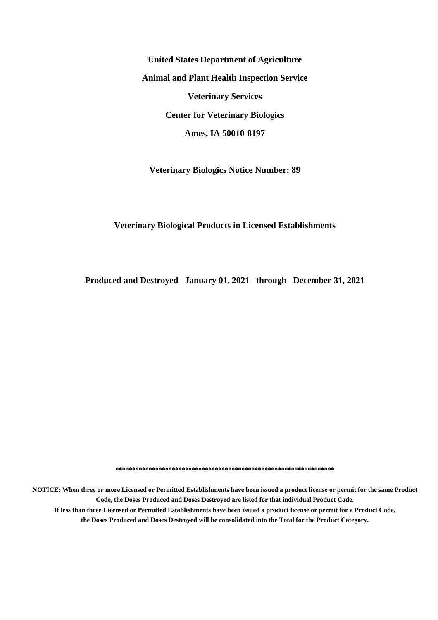**United States Department of Agriculture Animal and Plant Health Inspection Service Veterinary Services Center for Veterinary Biologics Ames, IA 50010-8197**

**Veterinary Biologics Notice Number: 89**

#### **Veterinary Biological Products in Licensed Establishments**

**Produced and Destroyed January 01, 2021 through December 31, 2021**

**\*\*\*\*\*\*\*\*\*\*\*\*\*\*\*\*\*\*\*\*\*\*\*\*\*\*\*\*\*\*\*\*\*\*\*\*\*\*\*\*\*\*\*\*\*\*\*\*\*\*\*\*\*\*\*\*\*\*\*\*\*\*\*\*\*\***

**NOTICE: When three or more Licensed or Permitted Establishments have been issued a product license or permit for the same Product Code, the Doses Produced and Doses Destroyed are listed for that individual Product Code. If less than three Licensed or Permitted Establishments have been issued a product license or permit for a Product Code, the Doses Produced and Doses Destroyed will be consolidated into the Total for the Product Category.**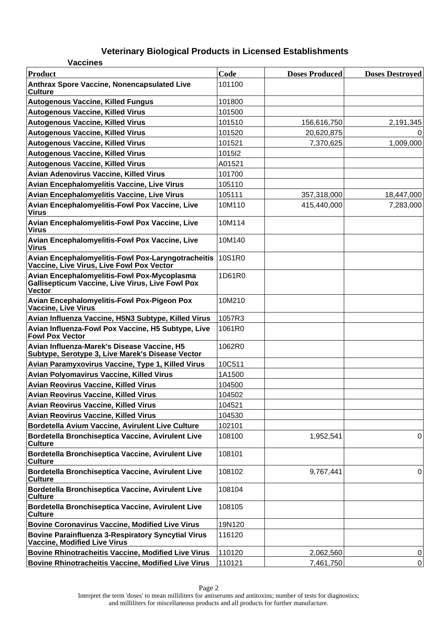| <b>Vaccines</b>                                                                                                         |        |                       |                        |
|-------------------------------------------------------------------------------------------------------------------------|--------|-----------------------|------------------------|
| Product                                                                                                                 | Code   | <b>Doses Produced</b> | <b>Doses Destroyed</b> |
| Anthrax Spore Vaccine, Nonencapsulated Live<br><b>Culture</b>                                                           | 101100 |                       |                        |
| <b>Autogenous Vaccine, Killed Fungus</b>                                                                                | 101800 |                       |                        |
| <b>Autogenous Vaccine, Killed Virus</b>                                                                                 | 101500 |                       |                        |
| <b>Autogenous Vaccine, Killed Virus</b>                                                                                 | 101510 | 156,616,750           | 2,191,345              |
| <b>Autogenous Vaccine, Killed Virus</b>                                                                                 | 101520 | 20,620,875            |                        |
| <b>Autogenous Vaccine, Killed Virus</b>                                                                                 | 101521 | 7,370,625             | 1,009,000              |
| <b>Autogenous Vaccine, Killed Virus</b>                                                                                 | 1015I2 |                       |                        |
| <b>Autogenous Vaccine, Killed Virus</b>                                                                                 | A01521 |                       |                        |
| Avian Adenovirus Vaccine, Killed Virus                                                                                  | 101700 |                       |                        |
| Avian Encephalomyelitis Vaccine, Live Virus                                                                             | 105110 |                       |                        |
| Avian Encephalomyelitis Vaccine, Live Virus                                                                             | 105111 | 357,318,000           | 18,447,000             |
| Avian Encephalomyelitis-Fowl Pox Vaccine, Live<br><b>Virus</b>                                                          | 10M110 | 415,440,000           | 7,283,000              |
| Avian Encephalomyelitis-Fowl Pox Vaccine, Live<br><b>Virus</b>                                                          | 10M114 |                       |                        |
| Avian Encephalomyelitis-Fowl Pox Vaccine, Live<br><b>Virus</b>                                                          | 10M140 |                       |                        |
| <b>Avian Encephalomyelitis-Fowl Pox-Laryngotracheitis</b><br>Vaccine, Live Virus, Live Fowl Pox Vector                  | 10S1R0 |                       |                        |
| Avian Encephalomyelitis-Fowl Pox-Mycoplasma<br><b>Gallisepticum Vaccine, Live Virus, Live Fowl Pox</b><br><b>Vector</b> | 1D61R0 |                       |                        |
| <b>Avian Encephalomyelitis-Fowl Pox-Pigeon Pox</b><br>Vaccine, Live Virus                                               | 10M210 |                       |                        |
| Avian Influenza Vaccine, H5N3 Subtype, Killed Virus                                                                     | 1057R3 |                       |                        |
| Avian Influenza-Fowl Pox Vaccine, H5 Subtype, Live<br><b>Fowl Pox Vector</b>                                            | 1061R0 |                       |                        |
| Avian Influenza-Marek's Disease Vaccine, H5<br>Subtype, Serotype 3, Live Marek's Disease Vector                         | 1062R0 |                       |                        |
| Avian Paramyxovirus Vaccine, Type 1, Killed Virus                                                                       | 10C511 |                       |                        |
| <b>Avian Polyomavirus Vaccine, Killed Virus</b>                                                                         | 1A1500 |                       |                        |
| <b>Avian Reovirus Vaccine, Killed Virus</b>                                                                             | 104500 |                       |                        |
| <b>Avian Reovirus Vaccine, Killed Virus</b>                                                                             | 104502 |                       |                        |
| Avian Reovirus Vaccine, Killed Virus                                                                                    | 104521 |                       |                        |
| Avian Reovirus Vaccine, Killed Virus                                                                                    | 104530 |                       |                        |
| Bordetella Avium Vaccine, Avirulent Live Culture                                                                        | 102101 |                       |                        |
| Bordetella Bronchiseptica Vaccine, Avirulent Live<br><b>Culture</b>                                                     | 108100 | 1,952,541             | 0                      |
| Bordetella Bronchiseptica Vaccine, Avirulent Live<br><b>Culture</b>                                                     | 108101 |                       |                        |
| Bordetella Bronchiseptica Vaccine, Avirulent Live<br><b>Culture</b>                                                     | 108102 | 9,767,441             | $\mathbf 0$            |
| Bordetella Bronchiseptica Vaccine, Avirulent Live<br><b>Culture</b>                                                     | 108104 |                       |                        |
| Bordetella Bronchiseptica Vaccine, Avirulent Live<br><b>Culture</b>                                                     | 108105 |                       |                        |
| <b>Bovine Coronavirus Vaccine, Modified Live Virus</b>                                                                  | 19N120 |                       |                        |
| <b>Bovine Parainfluenza 3-Respiratory Syncytial Virus</b><br>Vaccine, Modified Live Virus                               | 116120 |                       |                        |
| <b>Bovine Rhinotracheitis Vaccine, Modified Live Virus</b>                                                              | 110120 | 2,062,560             | 0                      |
| <b>Bovine Rhinotracheitis Vaccine, Modified Live Virus</b>                                                              | 110121 | 7,461,750             | $\mathbf 0$            |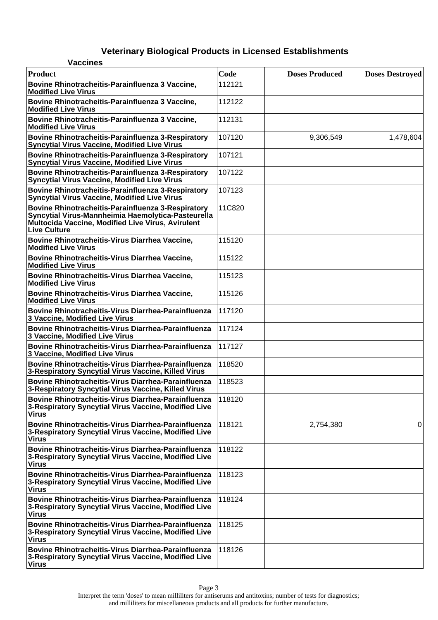| <b>Vaccines</b>                                                                                                                                                                      |        |                       |                        |
|--------------------------------------------------------------------------------------------------------------------------------------------------------------------------------------|--------|-----------------------|------------------------|
| <b>Product</b>                                                                                                                                                                       | Code   | <b>Doses Produced</b> | <b>Doses Destroyed</b> |
| Bovine Rhinotracheitis-Parainfluenza 3 Vaccine,<br><b>Modified Live Virus</b>                                                                                                        | 112121 |                       |                        |
| Bovine Rhinotracheitis-Parainfluenza 3 Vaccine,<br><b>Modified Live Virus</b>                                                                                                        | 112122 |                       |                        |
| Bovine Rhinotracheitis-Parainfluenza 3 Vaccine,<br><b>Modified Live Virus</b>                                                                                                        | 112131 |                       |                        |
| Bovine Rhinotracheitis-Parainfluenza 3-Respiratory<br>Syncytial Virus Vaccine, Modified Live Virus                                                                                   | 107120 | 9,306,549             | 1,478,604              |
| Bovine Rhinotracheitis-Parainfluenza 3-Respiratory<br><b>Syncytial Virus Vaccine, Modified Live Virus</b>                                                                            | 107121 |                       |                        |
| Bovine Rhinotracheitis-Parainfluenza 3-Respiratory<br><b>Syncytial Virus Vaccine, Modified Live Virus</b>                                                                            | 107122 |                       |                        |
| Bovine Rhinotracheitis-Parainfluenza 3-Respiratory<br><b>Syncytial Virus Vaccine, Modified Live Virus</b>                                                                            | 107123 |                       |                        |
| Bovine Rhinotracheitis-Parainfluenza 3-Respiratory<br>Syncytial Virus-Mannheimia Haemolytica-Pasteurella<br>Multocida Vaccine, Modified Live Virus, Avirulent<br><b>Live Culture</b> | 11C820 |                       |                        |
| Bovine Rhinotracheitis-Virus Diarrhea Vaccine,<br><b>Modified Live Virus</b>                                                                                                         | 115120 |                       |                        |
| Bovine Rhinotracheitis-Virus Diarrhea Vaccine,<br><b>Modified Live Virus</b>                                                                                                         | 115122 |                       |                        |
| Bovine Rhinotracheitis-Virus Diarrhea Vaccine,<br><b>Modified Live Virus</b>                                                                                                         | 115123 |                       |                        |
| Bovine Rhinotracheitis-Virus Diarrhea Vaccine,<br><b>Modified Live Virus</b>                                                                                                         | 115126 |                       |                        |
| Bovine Rhinotracheitis-Virus Diarrhea-Parainfluenza<br>3 Vaccine, Modified Live Virus                                                                                                | 117120 |                       |                        |
| Bovine Rhinotracheitis-Virus Diarrhea-Parainfluenza<br>3 Vaccine, Modified Live Virus                                                                                                | 117124 |                       |                        |
| Bovine Rhinotracheitis-Virus Diarrhea-Parainfluenza<br>3 Vaccine, Modified Live Virus                                                                                                | 117127 |                       |                        |
| Bovine Rhinotracheitis-Virus Diarrhea-Parainfluenza<br>3-Respiratory Syncytial Virus Vaccine, Killed Virus                                                                           | 118520 |                       |                        |
| Bovine Rhinotracheitis-Virus Diarrhea-Parainfluenza<br>3-Respiratory Syncytial Virus Vaccine, Killed Virus                                                                           | 118523 |                       |                        |
| Bovine Rhinotracheitis-Virus Diarrhea-Parainfluenza<br>3-Respiratory Syncytial Virus Vaccine, Modified Live<br><b>Virus</b>                                                          | 118120 |                       |                        |
| Bovine Rhinotracheitis-Virus Diarrhea-Parainfluenza<br>3-Respiratory Syncytial Virus Vaccine, Modified Live<br><b>Virus</b>                                                          | 118121 | 2,754,380             | 0                      |
| <b>Bovine Rhinotracheitis-Virus Diarrhea-Parainfluenza</b><br>3-Respiratory Syncytial Virus Vaccine, Modified Live<br><b>Virus</b>                                                   | 118122 |                       |                        |
| Bovine Rhinotracheitis-Virus Diarrhea-Parainfluenza<br>3-Respiratory Syncytial Virus Vaccine, Modified Live<br><b>Virus</b>                                                          | 118123 |                       |                        |
| Bovine Rhinotracheitis-Virus Diarrhea-Parainfluenza<br>3-Respiratory Syncytial Virus Vaccine, Modified Live<br><b>Virus</b>                                                          | 118124 |                       |                        |
| <b>Bovine Rhinotracheitis-Virus Diarrhea-Parainfluenza</b><br>3-Respiratory Syncytial Virus Vaccine, Modified Live<br><b>Virus</b>                                                   | 118125 |                       |                        |
| Bovine Rhinotracheitis-Virus Diarrhea-Parainfluenza<br>3-Respiratory Syncytial Virus Vaccine, Modified Live<br><b>Virus</b>                                                          | 118126 |                       |                        |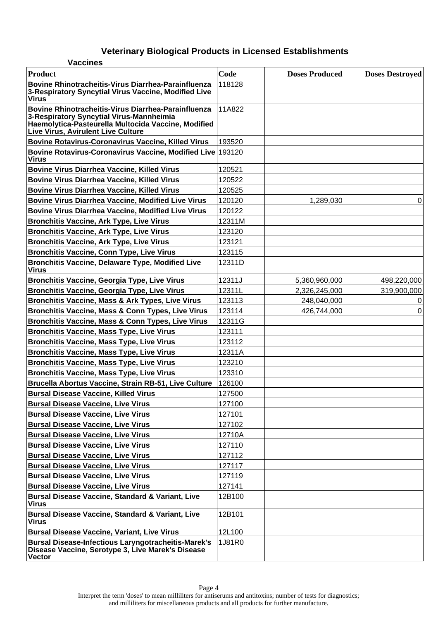| <b>Vaccines</b>                                                                                                                                                                                     |        |                       |                        |
|-----------------------------------------------------------------------------------------------------------------------------------------------------------------------------------------------------|--------|-----------------------|------------------------|
| <b>Product</b>                                                                                                                                                                                      | Code   | <b>Doses Produced</b> | <b>Doses Destroyed</b> |
| Bovine Rhinotracheitis-Virus Diarrhea-Parainfluenza<br>3-Respiratory Syncytial Virus Vaccine, Modified Live<br><b>Virus</b>                                                                         | 118128 |                       |                        |
| Bovine Rhinotracheitis-Virus Diarrhea-Parainfluenza<br>3-Respiratory Syncytial Virus-Mannheimia<br>Haemolytica-Pasteurella Multocida Vaccine, Modified<br><b>Live Virus, Avirulent Live Culture</b> | 11A822 |                       |                        |
| <b>Bovine Rotavirus-Coronavirus Vaccine, Killed Virus</b>                                                                                                                                           | 193520 |                       |                        |
| Bovine Rotavirus-Coronavirus Vaccine, Modified Live 193120<br><b>Virus</b>                                                                                                                          |        |                       |                        |
| <b>Bovine Virus Diarrhea Vaccine, Killed Virus</b>                                                                                                                                                  | 120521 |                       |                        |
| <b>Bovine Virus Diarrhea Vaccine, Killed Virus</b>                                                                                                                                                  | 120522 |                       |                        |
| <b>Bovine Virus Diarrhea Vaccine, Killed Virus</b>                                                                                                                                                  | 120525 |                       |                        |
| <b>Bovine Virus Diarrhea Vaccine, Modified Live Virus</b>                                                                                                                                           | 120120 | 1,289,030             | 0                      |
| <b>Bovine Virus Diarrhea Vaccine, Modified Live Virus</b>                                                                                                                                           | 120122 |                       |                        |
| <b>Bronchitis Vaccine, Ark Type, Live Virus</b>                                                                                                                                                     | 12311M |                       |                        |
| <b>Bronchitis Vaccine, Ark Type, Live Virus</b>                                                                                                                                                     | 123120 |                       |                        |
| <b>Bronchitis Vaccine, Ark Type, Live Virus</b>                                                                                                                                                     | 123121 |                       |                        |
| <b>Bronchitis Vaccine, Conn Type, Live Virus</b>                                                                                                                                                    | 123115 |                       |                        |
| <b>Bronchitis Vaccine, Delaware Type, Modified Live</b><br><b>Virus</b>                                                                                                                             | 12311D |                       |                        |
| <b>Bronchitis Vaccine, Georgia Type, Live Virus</b>                                                                                                                                                 | 12311J | 5,360,960,000         | 498,220,000            |
| <b>Bronchitis Vaccine, Georgia Type, Live Virus</b>                                                                                                                                                 | 12311L | 2,326,245,000         | 319,900,000            |
| Bronchitis Vaccine, Mass & Ark Types, Live Virus                                                                                                                                                    | 123113 | 248,040,000           | 0                      |
| <b>Bronchitis Vaccine, Mass &amp; Conn Types, Live Virus</b>                                                                                                                                        | 123114 | 426,744,000           | 0                      |
| Bronchitis Vaccine, Mass & Conn Types, Live Virus                                                                                                                                                   | 12311G |                       |                        |
| <b>Bronchitis Vaccine, Mass Type, Live Virus</b>                                                                                                                                                    | 123111 |                       |                        |
| <b>Bronchitis Vaccine, Mass Type, Live Virus</b>                                                                                                                                                    | 123112 |                       |                        |
| <b>Bronchitis Vaccine, Mass Type, Live Virus</b>                                                                                                                                                    | 12311A |                       |                        |
| <b>Bronchitis Vaccine, Mass Type, Live Virus</b>                                                                                                                                                    | 123210 |                       |                        |
| <b>Bronchitis Vaccine, Mass Type, Live Virus</b>                                                                                                                                                    | 123310 |                       |                        |
| Brucella Abortus Vaccine, Strain RB-51, Live Culture                                                                                                                                                | 126100 |                       |                        |
| <b>Bursal Disease Vaccine, Killed Virus</b>                                                                                                                                                         | 127500 |                       |                        |
| <b>Bursal Disease Vaccine, Live Virus</b>                                                                                                                                                           | 127100 |                       |                        |
| <b>Bursal Disease Vaccine, Live Virus</b>                                                                                                                                                           | 127101 |                       |                        |
| <b>Bursal Disease Vaccine, Live Virus</b>                                                                                                                                                           | 127102 |                       |                        |
| <b>Bursal Disease Vaccine, Live Virus</b>                                                                                                                                                           | 12710A |                       |                        |
| <b>Bursal Disease Vaccine, Live Virus</b>                                                                                                                                                           | 127110 |                       |                        |
| <b>Bursal Disease Vaccine, Live Virus</b>                                                                                                                                                           | 127112 |                       |                        |
| <b>Bursal Disease Vaccine, Live Virus</b>                                                                                                                                                           | 127117 |                       |                        |
| <b>Bursal Disease Vaccine, Live Virus</b>                                                                                                                                                           | 127119 |                       |                        |
| <b>Bursal Disease Vaccine, Live Virus</b>                                                                                                                                                           | 127141 |                       |                        |
| <b>Bursal Disease Vaccine, Standard &amp; Variant, Live</b><br><b>Virus</b>                                                                                                                         | 12B100 |                       |                        |
| <b>Bursal Disease Vaccine, Standard &amp; Variant, Live</b><br><b>Virus</b>                                                                                                                         | 12B101 |                       |                        |
| <b>Bursal Disease Vaccine, Variant, Live Virus</b>                                                                                                                                                  | 12L100 |                       |                        |
| <b>Bursal Disease-Infectious Laryngotracheitis-Marek's</b><br>Disease Vaccine, Serotype 3, Live Marek's Disease<br><b>Vector</b>                                                                    | 1J81R0 |                       |                        |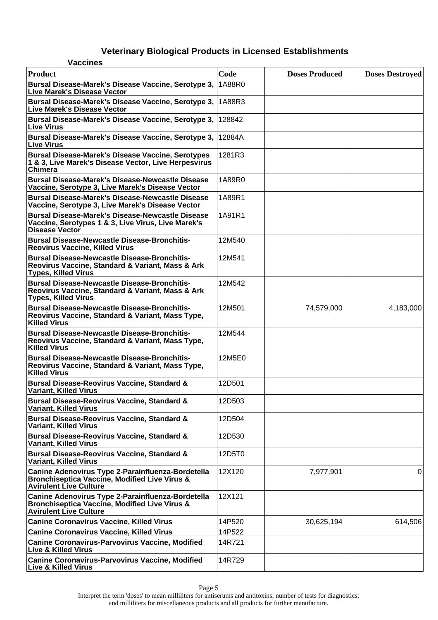| <b>Vaccines</b>                                                                                                                                |        |                       |                        |
|------------------------------------------------------------------------------------------------------------------------------------------------|--------|-----------------------|------------------------|
| Product                                                                                                                                        | Code   | <b>Doses Produced</b> | <b>Doses Destroyed</b> |
| Bursal Disease-Marek's Disease Vaccine, Serotype 3,<br>Live Marek's Disease Vector                                                             | 1A88R0 |                       |                        |
| Bursal Disease-Marek's Disease Vaccine, Serotype 3,<br>Live Marek's Disease Vector                                                             | 1A88R3 |                       |                        |
| Bursal Disease-Marek's Disease Vaccine, Serotype 3,<br><b>Live Virus</b>                                                                       | 128842 |                       |                        |
| Bursal Disease-Marek's Disease Vaccine, Serotype 3,<br>∣Live Virus                                                                             | 12884A |                       |                        |
| <b>Bursal Disease-Marek's Disease Vaccine, Serotypes</b><br>1 & 3, Live Marek's Disease Vector, Live Herpesvirus<br>Chimera                    | 1281R3 |                       |                        |
| <b>Bursal Disease-Marek's Disease-Newcastle Disease</b><br>Vaccine, Serotype 3, Live Marek's Disease Vector                                    | 1A89R0 |                       |                        |
| <b>Bursal Disease-Marek's Disease-Newcastle Disease</b><br>Vaccine, Serotype 3, Live Marek's Disease Vector                                    | 1A89R1 |                       |                        |
| <b>Bursal Disease-Marek's Disease-Newcastle Disease</b><br>Vaccine, Serotypes 1 & 3, Live Virus, Live Marek's<br><b>Disease Vector</b>         | 1A91R1 |                       |                        |
| <b>Bursal Disease-Newcastle Disease-Bronchitis-</b><br><b>Reovirus Vaccine, Killed Virus</b>                                                   | 12M540 |                       |                        |
| <b>Bursal Disease-Newcastle Disease-Bronchitis-</b><br>Reovirus Vaccine, Standard & Variant, Mass & Ark<br><b>Types, Killed Virus</b>          | 12M541 |                       |                        |
| <b>Bursal Disease-Newcastle Disease-Bronchitis-</b><br>Reovirus Vaccine, Standard & Variant, Mass & Ark<br><b>Types, Killed Virus</b>          | 12M542 |                       |                        |
| <b>Bursal Disease-Newcastle Disease-Bronchitis-</b><br>Reovirus Vaccine, Standard & Variant, Mass Type,<br><b>Killed Virus</b>                 | 12M501 | 74,579,000            | 4,183,000              |
| <b>Bursal Disease-Newcastle Disease-Bronchitis-</b><br>Reovirus Vaccine, Standard & Variant, Mass Type,<br><b>Killed Virus</b>                 | 12M544 |                       |                        |
| <b>Bursal Disease-Newcastle Disease-Bronchitis-</b><br>Reovirus Vaccine, Standard & Variant, Mass Type,<br><b>Killed Virus</b>                 | 12M5E0 |                       |                        |
| <b>Bursal Disease-Reovirus Vaccine, Standard &amp;</b><br><b>Variant, Killed Virus</b>                                                         | 12D501 |                       |                        |
| <b>Bursal Disease-Reovirus Vaccine, Standard &amp;</b><br><b>Variant, Killed Virus</b>                                                         | 12D503 |                       |                        |
| <b>Bursal Disease-Reovirus Vaccine, Standard &amp;</b><br><b>Variant, Killed Virus</b>                                                         | 12D504 |                       |                        |
| <b>Bursal Disease-Reovirus Vaccine, Standard &amp;</b><br><b>Variant, Killed Virus</b>                                                         | 12D530 |                       |                        |
| <b>Bursal Disease-Reovirus Vaccine, Standard &amp;</b><br><b>Variant, Killed Virus</b>                                                         | 12D5T0 |                       |                        |
| Canine Adenovirus Type 2-Parainfluenza-Bordetella<br>Bronchiseptica Vaccine, Modified Live Virus &<br><b>Avirulent Live Culture</b>            | 12X120 | 7,977,901             | 0                      |
| Canine Adenovirus Type 2-Parainfluenza-Bordetella<br><b>Bronchiseptica Vaccine, Modified Live Virus &amp;</b><br><b>Avirulent Live Culture</b> | 12X121 |                       |                        |
| <b>Canine Coronavirus Vaccine, Killed Virus</b>                                                                                                | 14P520 | 30,625,194            | 614,506                |
| <b>Canine Coronavirus Vaccine, Killed Virus</b>                                                                                                | 14P522 |                       |                        |
| <b>Canine Coronavirus-Parvovirus Vaccine, Modified</b><br><b>Live &amp; Killed Virus</b>                                                       | 14R721 |                       |                        |
| <b>Canine Coronavirus-Parvovirus Vaccine, Modified</b><br><b>Live &amp; Killed Virus</b>                                                       | 14R729 |                       |                        |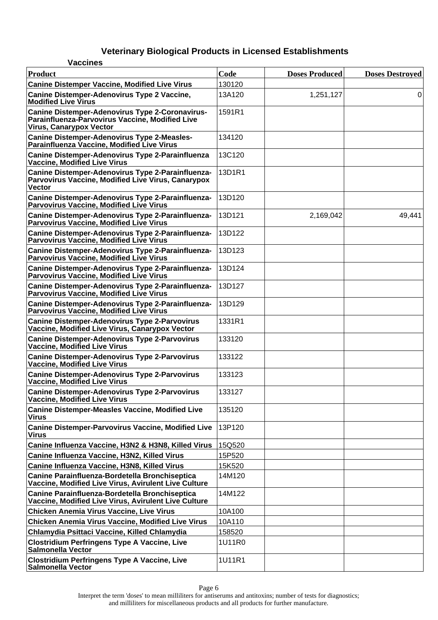| <b>Vaccines</b>                                                                                                                             |        |                       |                        |
|---------------------------------------------------------------------------------------------------------------------------------------------|--------|-----------------------|------------------------|
| Product                                                                                                                                     | Code   | <b>Doses Produced</b> | <b>Doses Destroyed</b> |
| <b>Canine Distemper Vaccine, Modified Live Virus</b>                                                                                        | 130120 |                       |                        |
| <b>Canine Distemper-Adenovirus Type 2 Vaccine,</b><br><b>Modified Live Virus</b>                                                            | 13A120 | 1,251,127             | 0                      |
| <b>Canine Distemper-Adenovirus Type 2-Coronavirus-</b><br>Parainfluenza-Parvovirus Vaccine, Modified Live<br><b>Virus, Canarypox Vector</b> | 1591R1 |                       |                        |
| <b>Canine Distemper-Adenovirus Type 2-Measles-</b><br>Parainfluenza Vaccine, Modified Live Virus                                            | 134120 |                       |                        |
| Canine Distemper-Adenovirus Type 2-Parainfluenza<br><b>Vaccine, Modified Live Virus</b>                                                     | 13C120 |                       |                        |
| Canine Distemper-Adenovirus Type 2-Parainfluenza-<br>Parvovirus Vaccine, Modified Live Virus, Canarypox<br><b>Vector</b>                    | 13D1R1 |                       |                        |
| Canine Distemper-Adenovirus Type 2-Parainfluenza-<br><b>Parvovirus Vaccine, Modified Live Virus</b>                                         | 13D120 |                       |                        |
| Canine Distemper-Adenovirus Type 2-Parainfluenza-<br><b>Parvovirus Vaccine, Modified Live Virus</b>                                         | 13D121 | 2,169,042             | 49,441                 |
| Canine Distemper-Adenovirus Type 2-Parainfluenza-<br><b>Parvovirus Vaccine, Modified Live Virus</b>                                         | 13D122 |                       |                        |
| Canine Distemper-Adenovirus Type 2-Parainfluenza-<br>Parvovirus Vaccine, Modified Live Virus                                                | 13D123 |                       |                        |
| Canine Distemper-Adenovirus Type 2-Parainfluenza-<br><b>Parvovirus Vaccine, Modified Live Virus</b>                                         | 13D124 |                       |                        |
| Canine Distemper-Adenovirus Type 2-Parainfluenza-<br><b>Parvovirus Vaccine, Modified Live Virus</b>                                         | 13D127 |                       |                        |
| Canine Distemper-Adenovirus Type 2-Parainfluenza-<br><b>Parvovirus Vaccine, Modified Live Virus</b>                                         | 13D129 |                       |                        |
| <b>Canine Distemper-Adenovirus Type 2-Parvovirus</b><br>Vaccine, Modified Live Virus, Canarypox Vector                                      | 1331R1 |                       |                        |
| <b>Canine Distemper-Adenovirus Type 2-Parvovirus</b><br><b>Vaccine, Modified Live Virus</b>                                                 | 133120 |                       |                        |
| <b>Canine Distemper-Adenovirus Type 2-Parvovirus</b><br><b>Vaccine, Modified Live Virus</b>                                                 | 133122 |                       |                        |
| <b>Canine Distemper-Adenovirus Type 2-Parvovirus</b><br><b>Vaccine, Modified Live Virus</b>                                                 | 133123 |                       |                        |
| <b>Canine Distemper-Adenovirus Type 2-Parvovirus</b><br><b>Vaccine, Modified Live Virus</b>                                                 | 133127 |                       |                        |
| <b>Canine Distemper-Measles Vaccine, Modified Live</b><br><b>Virus</b>                                                                      | 135120 |                       |                        |
| Canine Distemper-Parvovirus Vaccine, Modified Live<br><b>Virus</b>                                                                          | 13P120 |                       |                        |
| Canine Influenza Vaccine, H3N2 & H3N8, Killed Virus                                                                                         | 15Q520 |                       |                        |
| Canine Influenza Vaccine, H3N2, Killed Virus                                                                                                | 15P520 |                       |                        |
| Canine Influenza Vaccine, H3N8, Killed Virus                                                                                                | 15K520 |                       |                        |
| Canine Parainfluenza-Bordetella Bronchiseptica<br>Vaccine, Modified Live Virus, Avirulent Live Culture                                      | 14M120 |                       |                        |
| Canine Parainfluenza-Bordetella Bronchiseptica<br>Vaccine, Modified Live Virus, Avirulent Live Culture                                      | 14M122 |                       |                        |
| <b>Chicken Anemia Virus Vaccine, Live Virus</b>                                                                                             | 10A100 |                       |                        |
| <b>Chicken Anemia Virus Vaccine, Modified Live Virus</b>                                                                                    | 10A110 |                       |                        |
| Chlamydia Psittaci Vaccine, Killed Chlamydia                                                                                                | 158520 |                       |                        |
| <b>Clostridium Perfringens Type A Vaccine, Live</b><br><b>Salmonella Vector</b>                                                             | 1U11R0 |                       |                        |
| <b>Clostridium Perfringens Type A Vaccine, Live</b><br><b>Salmonella Vector</b>                                                             | 1U11R1 |                       |                        |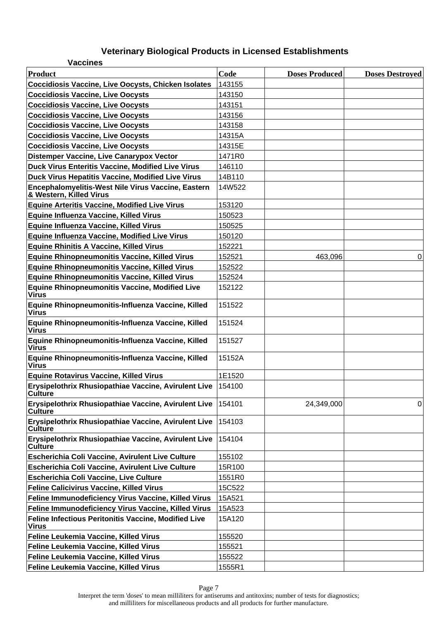| <b>Vaccines</b>                                                               |        |                       |                        |
|-------------------------------------------------------------------------------|--------|-----------------------|------------------------|
| <b>Product</b>                                                                | Code   | <b>Doses Produced</b> | <b>Doses Destroyed</b> |
| <b>Coccidiosis Vaccine, Live Oocysts, Chicken Isolates</b>                    | 143155 |                       |                        |
| <b>Coccidiosis Vaccine, Live Oocysts</b>                                      | 143150 |                       |                        |
| <b>Coccidiosis Vaccine, Live Oocysts</b>                                      | 143151 |                       |                        |
| <b>Coccidiosis Vaccine, Live Oocysts</b>                                      | 143156 |                       |                        |
| <b>Coccidiosis Vaccine, Live Oocysts</b>                                      | 143158 |                       |                        |
| <b>Coccidiosis Vaccine, Live Oocysts</b>                                      | 14315A |                       |                        |
| <b>Coccidiosis Vaccine, Live Oocysts</b>                                      | 14315E |                       |                        |
| <b>Distemper Vaccine, Live Canarypox Vector</b>                               | 1471R0 |                       |                        |
| Duck Virus Enteritis Vaccine, Modified Live Virus                             | 146110 |                       |                        |
| Duck Virus Hepatitis Vaccine, Modified Live Virus                             | 14B110 |                       |                        |
| Encephalomyelitis-West Nile Virus Vaccine, Eastern<br>& Western, Killed Virus | 14W522 |                       |                        |
| <b>Equine Arteritis Vaccine, Modified Live Virus</b>                          | 153120 |                       |                        |
| Equine Influenza Vaccine, Killed Virus                                        | 150523 |                       |                        |
| Equine Influenza Vaccine, Killed Virus                                        | 150525 |                       |                        |
| <b>Equine Influenza Vaccine, Modified Live Virus</b>                          | 150120 |                       |                        |
| <b>Equine Rhinitis A Vaccine, Killed Virus</b>                                | 152221 |                       |                        |
| <b>Equine Rhinopneumonitis Vaccine, Killed Virus</b>                          | 152521 | 463,096               | 0                      |
| <b>Equine Rhinopneumonitis Vaccine, Killed Virus</b>                          | 152522 |                       |                        |
| <b>Equine Rhinopneumonitis Vaccine, Killed Virus</b>                          | 152524 |                       |                        |
| <b>Equine Rhinopneumonitis Vaccine, Modified Live</b><br>Virus                | 152122 |                       |                        |
| Equine Rhinopneumonitis-Influenza Vaccine, Killed<br>Virus                    | 151522 |                       |                        |
| Equine Rhinopneumonitis-Influenza Vaccine, Killed<br>Virus                    | 151524 |                       |                        |
| Equine Rhinopneumonitis-Influenza Vaccine, Killed<br>Virus                    | 151527 |                       |                        |
| Equine Rhinopneumonitis-Influenza Vaccine, Killed<br><b>Virus</b>             | 15152A |                       |                        |
| <b>Equine Rotavirus Vaccine, Killed Virus</b>                                 | 1E1520 |                       |                        |
| Erysipelothrix Rhusiopathiae Vaccine, Avirulent Live 154100<br><b>Culture</b> |        |                       |                        |
| Erysipelothrix Rhusiopathiae Vaccine, Avirulent Live<br><b>Culture</b>        | 154101 | 24,349,000            | 0                      |
| Erysipelothrix Rhusiopathiae Vaccine, Avirulent Live<br><b>Culture</b>        | 154103 |                       |                        |
| Erysipelothrix Rhusiopathiae Vaccine, Avirulent Live<br><b>Culture</b>        | 154104 |                       |                        |
| Escherichia Coli Vaccine, Avirulent Live Culture                              | 155102 |                       |                        |
| Escherichia Coli Vaccine, Avirulent Live Culture                              | 15R100 |                       |                        |
| <b>Escherichia Coli Vaccine, Live Culture</b>                                 | 1551R0 |                       |                        |
| <b>Feline Calicivirus Vaccine, Killed Virus</b>                               | 15C522 |                       |                        |
| Feline Immunodeficiency Virus Vaccine, Killed Virus                           | 15A521 |                       |                        |
| Feline Immunodeficiency Virus Vaccine, Killed Virus                           | 15A523 |                       |                        |
| Feline Infectious Peritonitis Vaccine, Modified Live<br>Virus                 | 15A120 |                       |                        |
| Feline Leukemia Vaccine, Killed Virus                                         | 155520 |                       |                        |
| Feline Leukemia Vaccine, Killed Virus                                         | 155521 |                       |                        |
| Feline Leukemia Vaccine, Killed Virus                                         | 155522 |                       |                        |
| Feline Leukemia Vaccine, Killed Virus                                         | 1555R1 |                       |                        |

Page 7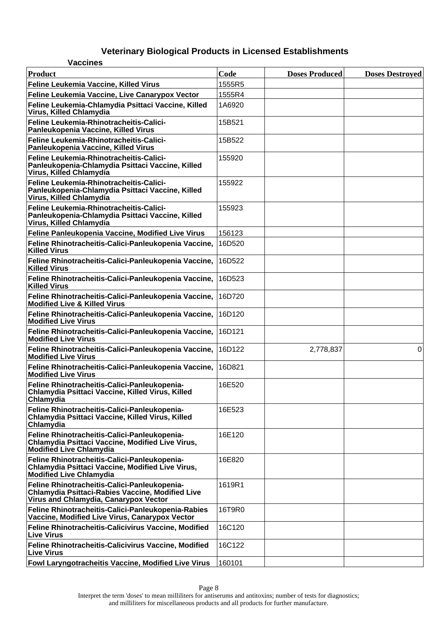| <b>Vaccines</b>                                                                                                                                  |        |                       |                        |
|--------------------------------------------------------------------------------------------------------------------------------------------------|--------|-----------------------|------------------------|
| Product                                                                                                                                          | Code   | <b>Doses Produced</b> | <b>Doses Destroyed</b> |
| Feline Leukemia Vaccine, Killed Virus                                                                                                            | 1555R5 |                       |                        |
| Feline Leukemia Vaccine, Live Canarypox Vector                                                                                                   | 1555R4 |                       |                        |
| Feline Leukemia-Chlamydia Psittaci Vaccine, Killed<br>Virus, Killed Chlamydia                                                                    | 1A6920 |                       |                        |
| Feline Leukemia-Rhinotracheitis-Calici-<br>Panleukopenia Vaccine, Killed Virus                                                                   | 15B521 |                       |                        |
| Feline Leukemia-Rhinotracheitis-Calici-<br>Panleukopenia Vaccine, Killed Virus                                                                   | 15B522 |                       |                        |
| Feline Leukemia-Rhinotracheitis-Calici-<br>Panleukopenia-Chlamydia Psittaci Vaccine, Killed<br>Virus, Killed Chlamydia                           | 155920 |                       |                        |
| Feline Leukemia-Rhinotracheitis-Calici-<br>Panleukopenia-Chlamydia Psittaci Vaccine, Killed<br>Virus, Killed Chlamydia                           | 155922 |                       |                        |
| Feline Leukemia-Rhinotracheitis-Calici-<br>Panleukopenia-Chlamydia Psittaci Vaccine, Killed<br>Virus, Killed Chlamydia                           | 155923 |                       |                        |
| Feline Panleukopenia Vaccine, Modified Live Virus                                                                                                | 156123 |                       |                        |
| Feline Rhinotracheitis-Calici-Panleukopenia Vaccine,<br><b>Killed Virus</b>                                                                      | 16D520 |                       |                        |
| Feline Rhinotracheitis-Calici-Panleukopenia Vaccine,<br><b>Killed Virus</b>                                                                      | 16D522 |                       |                        |
| Feline Rhinotracheitis-Calici-Panleukopenia Vaccine,<br><b>Killed Virus</b>                                                                      | 16D523 |                       |                        |
| Feline Rhinotracheitis-Calici-Panleukopenia Vaccine,<br><b>Modified Live &amp; Killed Virus</b>                                                  | 16D720 |                       |                        |
| Feline Rhinotracheitis-Calici-Panleukopenia Vaccine,<br><b>Modified Live Virus</b>                                                               | 16D120 |                       |                        |
| Feline Rhinotracheitis-Calici-Panleukopenia Vaccine,<br><b>Modified Live Virus</b>                                                               | 16D121 |                       |                        |
| Feline Rhinotracheitis-Calici-Panleukopenia Vaccine,<br><b>Modified Live Virus</b>                                                               | 16D122 | 2,778,837             | 0                      |
| Feline Rhinotracheitis-Calici-Panleukopenia Vaccine,<br><b>Modified Live Virus</b>                                                               | 16D821 |                       |                        |
| Feline Rhinotracheitis-Calici-Panleukopenia-<br>Chlamydia Psittaci Vaccine, Killed Virus, Killed<br>Chlamydia                                    | 16E520 |                       |                        |
| Feline Rhinotracheitis-Calici-Panleukopenia-<br>Chlamydia Psittaci Vaccine, Killed Virus, Killed<br>Chlamydia                                    | 16E523 |                       |                        |
| Feline Rhinotracheitis-Calici-Panleukopenia-<br>Chlamydia Psittaci Vaccine, Modified Live Virus,<br><b>Modified Live Chlamydia</b>               | 16E120 |                       |                        |
| Feline Rhinotracheitis-Calici-Panleukopenia-<br>Chlamydia Psittaci Vaccine, Modified Live Virus,<br><b>Modified Live Chlamydia</b>               | 16E820 |                       |                        |
| Feline Rhinotracheitis-Calici-Panleukopenia-<br><b>Chlamydia Psittaci-Rabies Vaccine, Modified Live</b><br>Virus and Chlamydia, Canarypox Vector | 1619R1 |                       |                        |
| Feline Rhinotracheitis-Calici-Panleukopenia-Rabies<br>Vaccine, Modified Live Virus, Canarypox Vector                                             | 16T9R0 |                       |                        |
| Feline Rhinotracheitis-Calicivirus Vaccine, Modified<br><b>Live Virus</b>                                                                        | 16C120 |                       |                        |
| Feline Rhinotracheitis-Calicivirus Vaccine, Modified<br>∣Live Virus                                                                              | 16C122 |                       |                        |
| Fowl Laryngotracheitis Vaccine, Modified Live Virus                                                                                              | 160101 |                       |                        |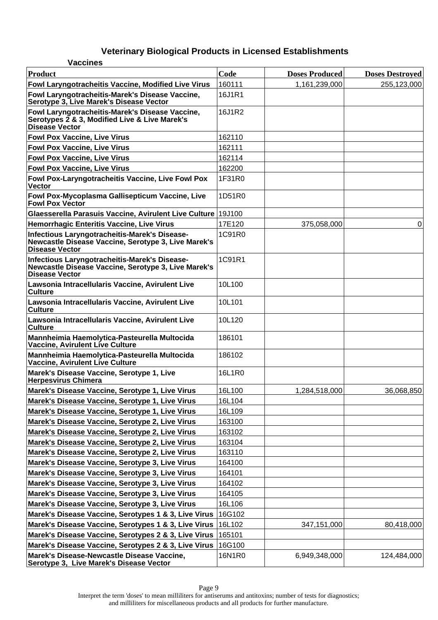| <b>Vaccines</b>                                                                                                               |        |                       |                        |
|-------------------------------------------------------------------------------------------------------------------------------|--------|-----------------------|------------------------|
| <b>Product</b>                                                                                                                | Code   | <b>Doses Produced</b> | <b>Doses Destroyed</b> |
| Fowl Laryngotracheitis Vaccine, Modified Live Virus                                                                           | 160111 | 1,161,239,000         | 255,123,000            |
| Fowl Laryngotracheitis-Marek's Disease Vaccine,<br>Serotype 3. Live Marek's Disease Vector                                    | 16J1R1 |                       |                        |
| Fowl Laryngotracheitis-Marek's Disease Vaccine,<br>Serotypes 2 & 3, Modified Live & Live Marek's<br>Disease Vector            | 16J1R2 |                       |                        |
| <b>Fowl Pox Vaccine, Live Virus</b>                                                                                           | 162110 |                       |                        |
| <b>Fowl Pox Vaccine, Live Virus</b>                                                                                           | 162111 |                       |                        |
| <b>Fowl Pox Vaccine, Live Virus</b>                                                                                           | 162114 |                       |                        |
| <b>Fowl Pox Vaccine, Live Virus</b>                                                                                           | 162200 |                       |                        |
| Fowl Pox-Laryngotracheitis Vaccine, Live Fowl Pox<br><b>Vector</b>                                                            | 1F31R0 |                       |                        |
| Fowl Pox-Mycoplasma Gallisepticum Vaccine, Live<br><b>Fowl Pox Vector</b>                                                     | 1D51R0 |                       |                        |
| Glaesserella Parasuis Vaccine, Avirulent Live Culture 19J100                                                                  |        |                       |                        |
| <b>Hemorrhagic Enteritis Vaccine, Live Virus</b>                                                                              | 17E120 | 375,058,000           | 0                      |
| Infectious Laryngotracheitis-Marek's Disease-<br>Newcastle Disease Vaccine, Serotype 3, Live Marek's<br><b>Disease Vector</b> | 1C91R0 |                       |                        |
| Infectious Laryngotracheitis-Marek's Disease-<br>Newcastle Disease Vaccine, Serotype 3, Live Marek's<br><b>Disease Vector</b> | 1C91R1 |                       |                        |
| Lawsonia Intracellularis Vaccine, Avirulent Live<br><b>Culture</b>                                                            | 10L100 |                       |                        |
| Lawsonia Intracellularis Vaccine, Avirulent Live<br><b>Culture</b>                                                            | 10L101 |                       |                        |
| Lawsonia Intracellularis Vaccine, Avirulent Live<br><b>Culture</b>                                                            | 10L120 |                       |                        |
| Mannheimia Haemolytica-Pasteurella Multocida<br><b>Vaccine, Avirulent Live Culture</b>                                        | 186101 |                       |                        |
| Mannheimia Haemolytica-Pasteurella Multocida<br><b>Vaccine, Avirulent Live Culture</b>                                        | 186102 |                       |                        |
| Marek's Disease Vaccine, Serotype 1, Live<br><b>Herpesvirus Chimera</b>                                                       | 16L1R0 |                       |                        |
| Marek's Disease Vaccine, Serotype 1, Live Virus                                                                               | 16L100 | 1,284,518,000         | 36,068,850             |
| Marek's Disease Vaccine, Serotype 1, Live Virus                                                                               | 16L104 |                       |                        |
| Marek's Disease Vaccine, Serotype 1, Live Virus                                                                               | 16L109 |                       |                        |
| Marek's Disease Vaccine, Serotype 2, Live Virus                                                                               | 163100 |                       |                        |
| Marek's Disease Vaccine, Serotype 2, Live Virus                                                                               | 163102 |                       |                        |
| Marek's Disease Vaccine, Serotype 2, Live Virus                                                                               | 163104 |                       |                        |
| Marek's Disease Vaccine, Serotype 2, Live Virus                                                                               | 163110 |                       |                        |
| Marek's Disease Vaccine, Serotype 3, Live Virus                                                                               | 164100 |                       |                        |
| Marek's Disease Vaccine, Serotype 3, Live Virus                                                                               | 164101 |                       |                        |
| Marek's Disease Vaccine, Serotype 3, Live Virus                                                                               | 164102 |                       |                        |
| Marek's Disease Vaccine, Serotype 3, Live Virus                                                                               | 164105 |                       |                        |
| Marek's Disease Vaccine, Serotype 3, Live Virus                                                                               | 16L106 |                       |                        |
| Marek's Disease Vaccine, Serotypes 1 & 3, Live Virus                                                                          | 16G102 |                       |                        |
| Marek's Disease Vaccine, Serotypes 1 & 3, Live Virus                                                                          | 16L102 | 347,151,000           | 80,418,000             |
| Marek's Disease Vaccine, Serotypes 2 & 3, Live Virus                                                                          | 165101 |                       |                        |
| Marek's Disease Vaccine, Serotypes 2 & 3, Live Virus                                                                          | 16G100 |                       |                        |
| Marek's Disease-Newcastle Disease Vaccine,<br>Serotype 3, Live Marek's Disease Vector                                         | 16N1R0 | 6,949,348,000         | 124,484,000            |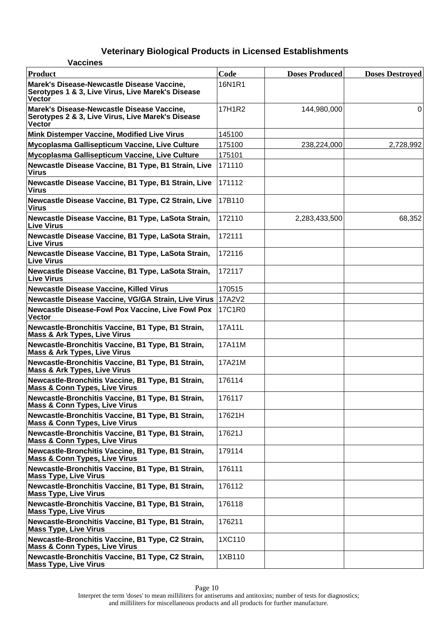| <b>Vaccines</b>                                                                                                  |        |                       |                        |
|------------------------------------------------------------------------------------------------------------------|--------|-----------------------|------------------------|
| Product                                                                                                          | Code   | <b>Doses Produced</b> | <b>Doses Destroyed</b> |
| Marek's Disease-Newcastle Disease Vaccine,<br>Serotypes 1 & 3, Live Virus, Live Marek's Disease<br><b>Vector</b> | 16N1R1 |                       |                        |
| Marek's Disease-Newcastle Disease Vaccine,<br>Serotypes 2 & 3, Live Virus, Live Marek's Disease<br>Vector        | 17H1R2 | 144,980,000           | 0                      |
| <b>Mink Distemper Vaccine, Modified Live Virus</b>                                                               | 145100 |                       |                        |
| Mycoplasma Gallisepticum Vaccine, Live Culture                                                                   | 175100 | 238,224,000           | 2,728,992              |
| Mycoplasma Gallisepticum Vaccine, Live Culture                                                                   | 175101 |                       |                        |
| Newcastle Disease Vaccine, B1 Type, B1 Strain, Live<br><b>Virus</b>                                              | 171110 |                       |                        |
| Newcastle Disease Vaccine, B1 Type, B1 Strain, Live<br><b>Virus</b>                                              | 171112 |                       |                        |
| Newcastle Disease Vaccine, B1 Type, C2 Strain, Live<br><b>Virus</b>                                              | 17B110 |                       |                        |
| Newcastle Disease Vaccine, B1 Type, LaSota Strain,<br><b>Live Virus</b>                                          | 172110 | 2,283,433,500         | 68,352                 |
| Newcastle Disease Vaccine, B1 Type, LaSota Strain,<br><b>Live Virus</b>                                          | 172111 |                       |                        |
| Newcastle Disease Vaccine, B1 Type, LaSota Strain,<br><b>Live Virus</b>                                          | 172116 |                       |                        |
| Newcastle Disease Vaccine, B1 Type, LaSota Strain,<br><b>Live Virus</b>                                          | 172117 |                       |                        |
| <b>Newcastle Disease Vaccine, Killed Virus</b>                                                                   | 170515 |                       |                        |
| Newcastle Disease Vaccine, VG/GA Strain, Live Virus 17A2V2                                                       |        |                       |                        |
| <b>Newcastle Disease-Fowl Pox Vaccine, Live Fowl Pox</b><br><b>Vector</b>                                        | 17C1R0 |                       |                        |
| Newcastle-Bronchitis Vaccine, B1 Type, B1 Strain,<br><b>Mass &amp; Ark Types, Live Virus</b>                     | 17A11L |                       |                        |
| Newcastle-Bronchitis Vaccine, B1 Type, B1 Strain,<br><b>Mass &amp; Ark Types, Live Virus</b>                     | 17A11M |                       |                        |
| Newcastle-Bronchitis Vaccine, B1 Type, B1 Strain,<br><b>Mass &amp; Ark Types, Live Virus</b>                     | 17A21M |                       |                        |
| Newcastle-Bronchitis Vaccine, B1 Type, B1 Strain,<br><b>Mass &amp; Conn Types, Live Virus</b>                    | 176114 |                       |                        |
| Newcastle-Bronchitis Vaccine, B1 Type, B1 Strain,<br><b>Mass &amp; Conn Types, Live Virus</b>                    | 176117 |                       |                        |
| Newcastle-Bronchitis Vaccine, B1 Type, B1 Strain,<br><b>Mass &amp; Conn Types, Live Virus</b>                    | 17621H |                       |                        |
| Newcastle-Bronchitis Vaccine, B1 Type, B1 Strain,<br><b>Mass &amp; Conn Types, Live Virus</b>                    | 17621J |                       |                        |
| Newcastle-Bronchitis Vaccine, B1 Type, B1 Strain,<br><b>Mass &amp; Conn Types, Live Virus</b>                    | 179114 |                       |                        |
| Newcastle-Bronchitis Vaccine, B1 Type, B1 Strain,<br><b>Mass Type, Live Virus</b>                                | 176111 |                       |                        |
| Newcastle-Bronchitis Vaccine, B1 Type, B1 Strain,<br><b>Mass Type, Live Virus</b>                                | 176112 |                       |                        |
| Newcastle-Bronchitis Vaccine, B1 Type, B1 Strain,<br><b>Mass Type, Live Virus</b>                                | 176118 |                       |                        |
| Newcastle-Bronchitis Vaccine, B1 Type, B1 Strain,<br><b>Mass Type, Live Virus</b>                                | 176211 |                       |                        |
| Newcastle-Bronchitis Vaccine, B1 Type, C2 Strain,<br><b>Mass &amp; Conn Types, Live Virus</b>                    | 1XC110 |                       |                        |
| Newcastle-Bronchitis Vaccine, B1 Type, C2 Strain,<br><b>Mass Type, Live Virus</b>                                | 1XB110 |                       |                        |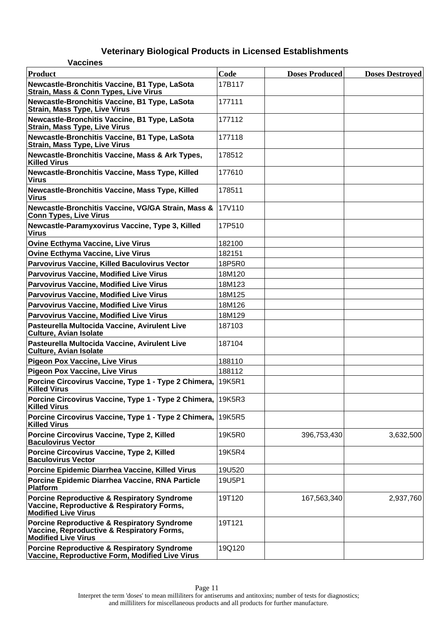| <b>Vaccines</b>                                                                                                                    |        |                       |                        |
|------------------------------------------------------------------------------------------------------------------------------------|--------|-----------------------|------------------------|
| Product                                                                                                                            | Code   | <b>Doses Produced</b> | <b>Doses Destroyed</b> |
| Newcastle-Bronchitis Vaccine, B1 Type, LaSota<br><b>Strain, Mass &amp; Conn Types, Live Virus</b>                                  | 17B117 |                       |                        |
| Newcastle-Bronchitis Vaccine, B1 Type, LaSota<br><b>Strain, Mass Type, Live Virus</b>                                              | 177111 |                       |                        |
| Newcastle-Bronchitis Vaccine, B1 Type, LaSota<br><b>Strain, Mass Type, Live Virus</b>                                              | 177112 |                       |                        |
| Newcastle-Bronchitis Vaccine, B1 Type, LaSota<br><b>Strain, Mass Type, Live Virus</b>                                              | 177118 |                       |                        |
| Newcastle-Bronchitis Vaccine, Mass & Ark Types,<br><b>Killed Virus</b>                                                             | 178512 |                       |                        |
| Newcastle-Bronchitis Vaccine, Mass Type, Killed<br><b>Virus</b>                                                                    | 177610 |                       |                        |
| Newcastle-Bronchitis Vaccine, Mass Type, Killed<br><b>Virus</b>                                                                    | 178511 |                       |                        |
| Newcastle-Bronchitis Vaccine, VG/GA Strain, Mass &<br><b>Conn Types, Live Virus</b>                                                | 17V110 |                       |                        |
| Newcastle-Paramyxovirus Vaccine, Type 3, Killed<br><b>Virus</b>                                                                    | 17P510 |                       |                        |
| <b>Ovine Ecthyma Vaccine, Live Virus</b>                                                                                           | 182100 |                       |                        |
| <b>Ovine Ecthyma Vaccine, Live Virus</b>                                                                                           | 182151 |                       |                        |
| <b>Parvovirus Vaccine, Killed Baculovirus Vector</b>                                                                               | 18P5R0 |                       |                        |
| <b>Parvovirus Vaccine, Modified Live Virus</b>                                                                                     | 18M120 |                       |                        |
| <b>Parvovirus Vaccine, Modified Live Virus</b>                                                                                     | 18M123 |                       |                        |
| <b>Parvovirus Vaccine, Modified Live Virus</b>                                                                                     | 18M125 |                       |                        |
| <b>Parvovirus Vaccine, Modified Live Virus</b>                                                                                     | 18M126 |                       |                        |
| <b>Parvovirus Vaccine, Modified Live Virus</b>                                                                                     | 18M129 |                       |                        |
| Pasteurella Multocida Vaccine, Avirulent Live<br><b>Culture, Avian Isolate</b>                                                     | 187103 |                       |                        |
| Pasteurella Multocida Vaccine, Avirulent Live<br><b>Culture, Avian Isolate</b>                                                     | 187104 |                       |                        |
| Pigeon Pox Vaccine, Live Virus                                                                                                     | 188110 |                       |                        |
| Pigeon Pox Vaccine, Live Virus                                                                                                     | 188112 |                       |                        |
| Porcine Circovirus Vaccine, Type 1 - Type 2 Chimera, 19K5R1<br><b>Killed Virus</b>                                                 |        |                       |                        |
| Porcine Circovirus Vaccine, Type 1 - Type 2 Chimera, 19K5R3<br><b>Killed Virus</b>                                                 |        |                       |                        |
| Porcine Circovirus Vaccine, Type 1 - Type 2 Chimera,   19K5R5<br><b>Killed Virus</b>                                               |        |                       |                        |
| Porcine Circovirus Vaccine, Type 2, Killed<br><b>Baculovirus Vector</b>                                                            | 19K5R0 | 396,753,430           | 3,632,500              |
| Porcine Circovirus Vaccine, Type 2, Killed<br><b>Baculovirus Vector</b>                                                            | 19K5R4 |                       |                        |
| Porcine Epidemic Diarrhea Vaccine, Killed Virus                                                                                    | 19U520 |                       |                        |
| <b>Porcine Epidemic Diarrhea Vaccine, RNA Particle</b><br>Platform                                                                 | 19U5P1 |                       |                        |
| <b>Porcine Reproductive &amp; Respiratory Syndrome</b><br>Vaccine, Reproductive & Respiratory Forms,<br><b>Modified Live Virus</b> | 19T120 | 167,563,340           | 2,937,760              |
| Porcine Reproductive & Respiratory Syndrome<br>Vaccine, Reproductive & Respiratory Forms,<br><b>Modified Live Virus</b>            | 19T121 |                       |                        |
| <b>Porcine Reproductive &amp; Respiratory Syndrome</b><br>Vaccine, Reproductive Form, Modified Live Virus                          | 19Q120 |                       |                        |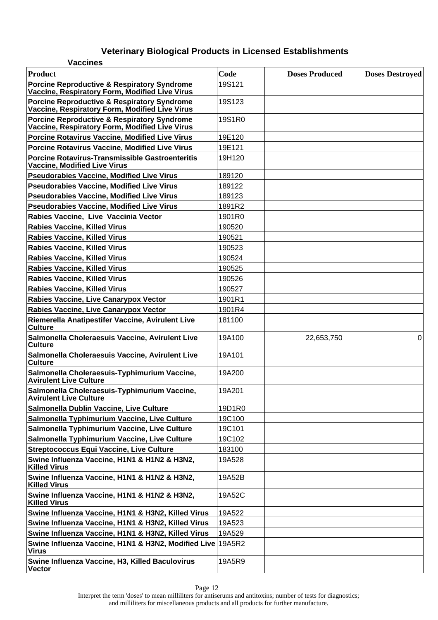| <b>Vaccines</b>                                                                               |        |                       |                        |
|-----------------------------------------------------------------------------------------------|--------|-----------------------|------------------------|
| Product                                                                                       | Code   | <b>Doses Produced</b> | <b>Doses Destroyed</b> |
| Porcine Reproductive & Respiratory Syndrome<br>Vaccine, Respiratory Form, Modified Live Virus | 19S121 |                       |                        |
| Porcine Reproductive & Respiratory Syndrome<br>Vaccine, Respiratory Form, Modified Live Virus | 19S123 |                       |                        |
| Porcine Reproductive & Respiratory Syndrome<br>Vaccine, Respiratory Form, Modified Live Virus | 19S1R0 |                       |                        |
| Porcine Rotavirus Vaccine, Modified Live Virus                                                | 19E120 |                       |                        |
| Porcine Rotavirus Vaccine, Modified Live Virus                                                | 19E121 |                       |                        |
| Porcine Rotavirus-Transmissible Gastroenteritis<br><b>Vaccine, Modified Live Virus</b>        | 19H120 |                       |                        |
| <b>Pseudorabies Vaccine, Modified Live Virus</b>                                              | 189120 |                       |                        |
| <b>Pseudorabies Vaccine, Modified Live Virus</b>                                              | 189122 |                       |                        |
| <b>Pseudorabies Vaccine, Modified Live Virus</b>                                              | 189123 |                       |                        |
| Pseudorabies Vaccine, Modified Live Virus                                                     | 1891R2 |                       |                        |
| Rabies Vaccine, Live Vaccinia Vector                                                          | 1901R0 |                       |                        |
| <b>Rabies Vaccine, Killed Virus</b>                                                           | 190520 |                       |                        |
| <b>Rabies Vaccine, Killed Virus</b>                                                           | 190521 |                       |                        |
| <b>Rabies Vaccine, Killed Virus</b>                                                           | 190523 |                       |                        |
| <b>Rabies Vaccine, Killed Virus</b>                                                           | 190524 |                       |                        |
| <b>Rabies Vaccine, Killed Virus</b>                                                           | 190525 |                       |                        |
| <b>Rabies Vaccine, Killed Virus</b>                                                           | 190526 |                       |                        |
| <b>Rabies Vaccine, Killed Virus</b>                                                           | 190527 |                       |                        |
| Rabies Vaccine, Live Canarypox Vector                                                         | 1901R1 |                       |                        |
| Rabies Vaccine, Live Canarypox Vector                                                         | 1901R4 |                       |                        |
| Riemerella Anatipestifer Vaccine, Avirulent Live<br><b>Culture</b>                            | 181100 |                       |                        |
| Salmonella Choleraesuis Vaccine, Avirulent Live<br><b>Culture</b>                             | 19A100 | 22,653,750            | 0                      |
| Salmonella Choleraesuis Vaccine, Avirulent Live<br><b>Culture</b>                             | 19A101 |                       |                        |
| Salmonella Choleraesuis-Typhimurium Vaccine,<br><b>Avirulent Live Culture</b>                 | 19A200 |                       |                        |
| Salmonella Choleraesuis-Typhimurium Vaccine,<br><b>Avirulent Live Culture</b>                 | 19A201 |                       |                        |
| Salmonella Dublin Vaccine, Live Culture                                                       | 19D1R0 |                       |                        |
| Salmonella Typhimurium Vaccine, Live Culture                                                  | 19C100 |                       |                        |
| Salmonella Typhimurium Vaccine, Live Culture                                                  | 19C101 |                       |                        |
| Salmonella Typhimurium Vaccine, Live Culture                                                  | 19C102 |                       |                        |
| <b>Streptococcus Equi Vaccine, Live Culture</b>                                               | 183100 |                       |                        |
| Swine Influenza Vaccine, H1N1 & H1N2 & H3N2,<br><b>Killed Virus</b>                           | 19A528 |                       |                        |
| Swine Influenza Vaccine, H1N1 & H1N2 & H3N2,<br><b>Killed Virus</b>                           | 19A52B |                       |                        |
| Swine Influenza Vaccine, H1N1 & H1N2 & H3N2,<br><b>Killed Virus</b>                           | 19A52C |                       |                        |
| Swine Influenza Vaccine, H1N1 & H3N2, Killed Virus                                            | 19A522 |                       |                        |
| Swine Influenza Vaccine, H1N1 & H3N2, Killed Virus                                            | 19A523 |                       |                        |
| Swine Influenza Vaccine, H1N1 & H3N2, Killed Virus                                            | 19A529 |                       |                        |
| Swine Influenza Vaccine, H1N1 & H3N2, Modified Live 19A5R2<br>Virus                           |        |                       |                        |
| Swine Influenza Vaccine, H3, Killed Baculovirus<br>Vector                                     | 19A5R9 |                       |                        |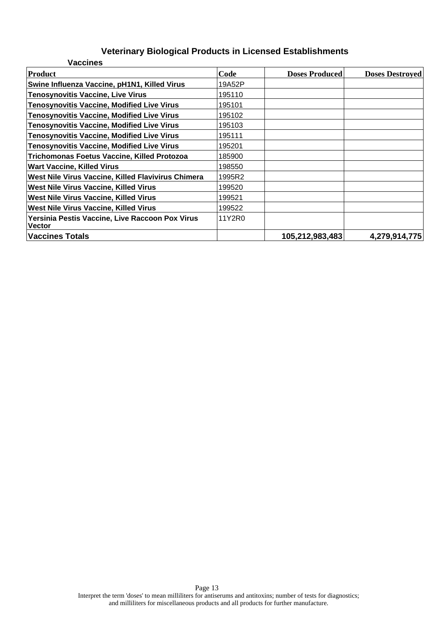| <b>Vaccines</b>                                           |        |                       |                        |
|-----------------------------------------------------------|--------|-----------------------|------------------------|
| <b>Product</b>                                            | Code   | <b>Doses Produced</b> | <b>Doses Destroyed</b> |
| Swine Influenza Vaccine, pH1N1, Killed Virus              | 19A52P |                       |                        |
| Tenosynovitis Vaccine, Live Virus                         | 195110 |                       |                        |
| <b>Tenosynovitis Vaccine, Modified Live Virus</b>         | 195101 |                       |                        |
| <b>Tenosynovitis Vaccine, Modified Live Virus</b>         | 195102 |                       |                        |
| <b>Tenosynovitis Vaccine, Modified Live Virus</b>         | 195103 |                       |                        |
| <b>Tenosynovitis Vaccine, Modified Live Virus</b>         | 195111 |                       |                        |
| <b>Tenosynovitis Vaccine, Modified Live Virus</b>         | 195201 |                       |                        |
| Trichomonas Foetus Vaccine, Killed Protozoa               | 185900 |                       |                        |
| <b>Wart Vaccine, Killed Virus</b>                         | 198550 |                       |                        |
| West Nile Virus Vaccine, Killed Flavivirus Chimera        | 1995R2 |                       |                        |
| <b>West Nile Virus Vaccine, Killed Virus</b>              | 199520 |                       |                        |
| <b>West Nile Virus Vaccine, Killed Virus</b>              | 199521 |                       |                        |
| West Nile Virus Vaccine, Killed Virus                     | 199522 |                       |                        |
| Yersinia Pestis Vaccine, Live Raccoon Pox Virus<br>Vector | 11Y2R0 |                       |                        |
| <b>Vaccines Totals</b>                                    |        | 105,212,983,483       | 4,279,914,775          |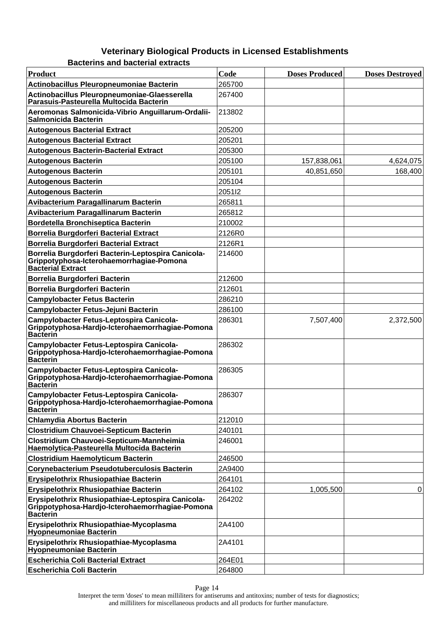| <b>Product</b>                                                                                                             | Code   | <b>Doses Produced</b> | <b>Doses Destroyed</b> |
|----------------------------------------------------------------------------------------------------------------------------|--------|-----------------------|------------------------|
| Actinobacillus Pleuropneumoniae Bacterin                                                                                   | 265700 |                       |                        |
| Actinobacillus Pleuropneumoniae-Glaesserella<br>Parasuis-Pasteurella Multocida Bacterin                                    | 267400 |                       |                        |
| Aeromonas Salmonicida-Vibrio Anguillarum-Ordalii-<br>Salmonicida Bacterin                                                  | 213802 |                       |                        |
| <b>Autogenous Bacterial Extract</b>                                                                                        | 205200 |                       |                        |
| <b>Autogenous Bacterial Extract</b>                                                                                        | 205201 |                       |                        |
| <b>Autogenous Bacterin-Bacterial Extract</b>                                                                               | 205300 |                       |                        |
| <b>Autogenous Bacterin</b>                                                                                                 | 205100 | 157,838,061           | 4,624,075              |
| <b>Autogenous Bacterin</b>                                                                                                 | 205101 | 40,851,650            | 168,400                |
| <b>Autogenous Bacterin</b>                                                                                                 | 205104 |                       |                        |
| <b>Autogenous Bacterin</b>                                                                                                 | 205112 |                       |                        |
| Avibacterium Paragallinarum Bacterin                                                                                       | 265811 |                       |                        |
| Avibacterium Paragallinarum Bacterin                                                                                       | 265812 |                       |                        |
| <b>Bordetella Bronchiseptica Bacterin</b>                                                                                  | 210002 |                       |                        |
| <b>Borrelia Burgdorferi Bacterial Extract</b>                                                                              | 2126R0 |                       |                        |
| <b>Borrelia Burgdorferi Bacterial Extract</b>                                                                              | 2126R1 |                       |                        |
| Borrelia Burgdorferi Bacterin-Leptospira Canicola-<br>Grippotyphosa-Icterohaemorrhagiae-Pomona<br><b>Bacterial Extract</b> | 214600 |                       |                        |
| Borrelia Burgdorferi Bacterin                                                                                              | 212600 |                       |                        |
| Borrelia Burgdorferi Bacterin                                                                                              | 212601 |                       |                        |
| <b>Campylobacter Fetus Bacterin</b>                                                                                        | 286210 |                       |                        |
| Campylobacter Fetus-Jejuni Bacterin                                                                                        | 286100 |                       |                        |
| Campylobacter Fetus-Leptospira Canicola-<br>Grippotyphosa-Hardjo-Icterohaemorrhagiae-Pomona<br><b>Bacterin</b>             | 286301 | 7,507,400             | 2,372,500              |
| Campylobacter Fetus-Leptospira Canicola-<br>Grippotyphosa-Hardjo-Icterohaemorrhagiae-Pomona<br><b>Bacterin</b>             | 286302 |                       |                        |
| Campylobacter Fetus-Leptospira Canicola-<br>Grippotyphosa-Hardjo-Icterohaemorrhagiae-Pomona<br><b>Bacterin</b>             | 286305 |                       |                        |
| Campylobacter Fetus-Leptospira Canicola-<br>Grippotyphosa-Hardjo-Icterohaemorrhagiae-Pomona<br><b>Bacterin</b>             | 286307 |                       |                        |
| <b>Chlamydia Abortus Bacterin</b>                                                                                          | 212010 |                       |                        |
| <b>Clostridium Chauvoei-Septicum Bacterin</b>                                                                              | 240101 |                       |                        |
| Clostridium Chauvoei-Septicum-Mannheimia<br>Haemolytica-Pasteurella Multocida Bacterin                                     | 246001 |                       |                        |
| <b>Clostridium Haemolyticum Bacterin</b>                                                                                   | 246500 |                       |                        |
| Corynebacterium Pseudotuberculosis Bacterin                                                                                | 2A9400 |                       |                        |
| Erysipelothrix Rhusiopathiae Bacterin                                                                                      | 264101 |                       |                        |
| Erysipelothrix Rhusiopathiae Bacterin                                                                                      | 264102 | 1,005,500             | 0                      |
| Erysipelothrix Rhusiopathiae-Leptospira Canicola-<br>Grippotyphosa-Hardjo-Icterohaemorrhagiae-Pomona<br><b>Bacterin</b>    | 264202 |                       |                        |
| Erysipelothrix Rhusiopathiae-Mycoplasma<br><b>Hyopheumoniae Bacterin</b>                                                   | 2A4100 |                       |                        |
| Erysipelothrix Rhusiopathiae-Mycoplasma<br><b>Hyopneumoniae Bacterin</b>                                                   | 2A4101 |                       |                        |
| <b>Escherichia Coli Bacterial Extract</b>                                                                                  | 264E01 |                       |                        |
| <b>Escherichia Coli Bacterin</b>                                                                                           | 264800 |                       |                        |

**Bacterins and bacterial extracts**

Page 14

Interpret the term 'doses' to mean milliliters for antiserums and antitoxins; number of tests for diagnostics; and milliliters for miscellaneous products and all products for further manufacture.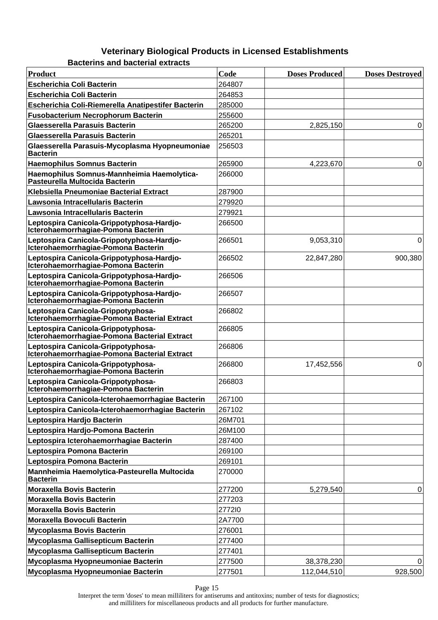**Bacterins and bacterial extracts**

| Product                                                                            | Code   | <b>Doses Produced</b> | <b>Doses Destroyed</b> |
|------------------------------------------------------------------------------------|--------|-----------------------|------------------------|
| <b>Escherichia Coli Bacterin</b>                                                   | 264807 |                       |                        |
| <b>Escherichia Coli Bacterin</b>                                                   | 264853 |                       |                        |
| Escherichia Coli-Riemerella Anatipestifer Bacterin                                 | 285000 |                       |                        |
| <b>Fusobacterium Necrophorum Bacterin</b>                                          | 255600 |                       |                        |
| Glaesserella Parasuis Bacterin                                                     | 265200 | 2,825,150             | 0                      |
| Glaesserella Parasuis Bacterin                                                     | 265201 |                       |                        |
| Glaesserella Parasuis-Mycoplasma Hyopneumoniae<br><b>Bacterin</b>                  | 256503 |                       |                        |
| <b>Haemophilus Somnus Bacterin</b>                                                 | 265900 | 4,223,670             | 0                      |
| Haemophilus Somnus-Mannheimia Haemolytica-<br>Pasteurella Multocida Bacterin       | 266000 |                       |                        |
| Klebsiella Pneumoniae Bacterial Extract                                            | 287900 |                       |                        |
| Lawsonia Intracellularis Bacterin                                                  | 279920 |                       |                        |
| Lawsonia Intracellularis Bacterin                                                  | 279921 |                       |                        |
| Leptospira Canicola-Grippotyphosa-Hardjo-<br>Icterohaemorrhagiae-Pomona Bacterin   | 266500 |                       |                        |
| Leptospira Canicola-Grippotyphosa-Hardjo-<br>Icterohaemorrhagiae-Pomona Bacterin   | 266501 | 9,053,310             | 0                      |
| Leptospira Canicola-Grippotyphosa-Hardjo-<br>Icterohaemorrhagiae-Pomona Bacterin   | 266502 | 22,847,280            | 900,380                |
| Leptospira Canicola-Grippotyphosa-Hardjo-<br>Icterohaemorrhagiae-Pomona Bacterin   | 266506 |                       |                        |
| Leptospira Canicola-Grippotyphosa-Hardjo-<br>Icterohaemorrhagiae-Pomona Bacterin   | 266507 |                       |                        |
| Leptospira Canicola-Grippotyphosa-<br>Icterohaemorrhagiae-Pomona Bacterial Extract | 266802 |                       |                        |
| Leptospira Canicola-Grippotyphosa-<br>Icterohaemorrhagiae-Pomona Bacterial Extract | 266805 |                       |                        |
| Leptospira Canicola-Grippotyphosa-<br>Icterohaemorrhagiae-Pomona Bacterial Extract | 266806 |                       |                        |
| Leptospira Canicola-Grippotyphosa-<br>Icterohaemorrhagiae-Pomona Bacterin          | 266800 | 17,452,556            | $\Omega$               |
| Leptospira Canicola-Grippotyphosa-<br>Icterohaemorrhagiae-Pomona Bacterin          | 266803 |                       |                        |
| Leptospira Canicola-Icterohaemorrhagiae Bacterin                                   | 267100 |                       |                        |
| Leptospira Canicola-Icterohaemorrhagiae Bacterin                                   | 267102 |                       |                        |
| Leptospira Hardjo Bacterin                                                         | 26M701 |                       |                        |
| Leptospira Hardjo-Pomona Bacterin                                                  | 26M100 |                       |                        |
| Leptospira Icterohaemorrhagiae Bacterin                                            | 287400 |                       |                        |
| Leptospira Pomona Bacterin                                                         | 269100 |                       |                        |
| Leptospira Pomona Bacterin                                                         | 269101 |                       |                        |
| Mannheimia Haemolytica-Pasteurella Multocida<br><b>Bacterin</b>                    | 270000 |                       |                        |
| <b>Moraxella Bovis Bacterin</b>                                                    | 277200 | 5,279,540             | 0                      |
| <b>Moraxella Bovis Bacterin</b>                                                    | 277203 |                       |                        |
| <b>Moraxella Bovis Bacterin</b>                                                    | 277210 |                       |                        |
| Moraxella Bovoculi Bacterin                                                        | 2A7700 |                       |                        |
| <b>Mycoplasma Bovis Bacterin</b>                                                   | 276001 |                       |                        |
| Mycoplasma Gallisepticum Bacterin                                                  | 277400 |                       |                        |
| Mycoplasma Gallisepticum Bacterin                                                  | 277401 |                       |                        |
| Mycoplasma Hyopneumoniae Bacterin                                                  | 277500 | 38,378,230            | 0                      |
| Mycoplasma Hyopneumoniae Bacterin                                                  | 277501 | 112,044,510           | 928,500                |

Page 15

Interpret the term 'doses' to mean milliliters for antiserums and antitoxins; number of tests for diagnostics; and milliliters for miscellaneous products and all products for further manufacture.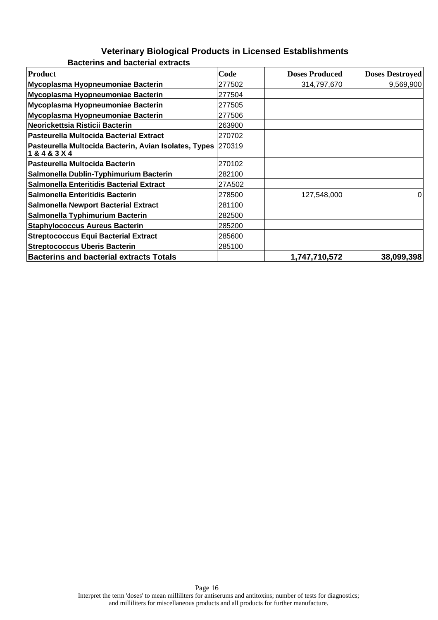| Product                                                                       | Code   | <b>Doses Produced</b> | <b>Doses Destroyed</b> |
|-------------------------------------------------------------------------------|--------|-----------------------|------------------------|
| Mycoplasma Hyopneumoniae Bacterin                                             | 277502 | 314,797,670           | 9,569,900              |
| Mycoplasma Hyopneumoniae Bacterin                                             | 277504 |                       |                        |
| Mycoplasma Hyopneumoniae Bacterin                                             | 277505 |                       |                        |
| Mycoplasma Hyopneumoniae Bacterin                                             | 277506 |                       |                        |
| Neorickettsia Risticii Bacterin                                               | 263900 |                       |                        |
| Pasteurella Multocida Bacterial Extract                                       | 270702 |                       |                        |
| Pasteurella Multocida Bacterin, Avian Isolates, Types 270319<br>1 & 4 & 3 X 4 |        |                       |                        |
| Pasteurella Multocida Bacterin                                                | 270102 |                       |                        |
| Salmonella Dublin-Typhimurium Bacterin                                        | 282100 |                       |                        |
| Salmonella Enteritidis Bacterial Extract                                      | 27A502 |                       |                        |
| Salmonella Enteritidis Bacterin                                               | 278500 | 127,548,000           | 0                      |
| <b>Salmonella Newport Bacterial Extract</b>                                   | 281100 |                       |                        |
| Salmonella Typhimurium Bacterin                                               | 282500 |                       |                        |
| <b>Staphylococcus Aureus Bacterin</b>                                         | 285200 |                       |                        |
| <b>Streptococcus Equi Bacterial Extract</b>                                   | 285600 |                       |                        |
| <b>Streptococcus Uberis Bacterin</b>                                          | 285100 |                       |                        |
| <b>Bacterins and bacterial extracts Totals</b>                                |        | 1,747,710,572         | 38,099,398             |

**Bacterins and bacterial extracts**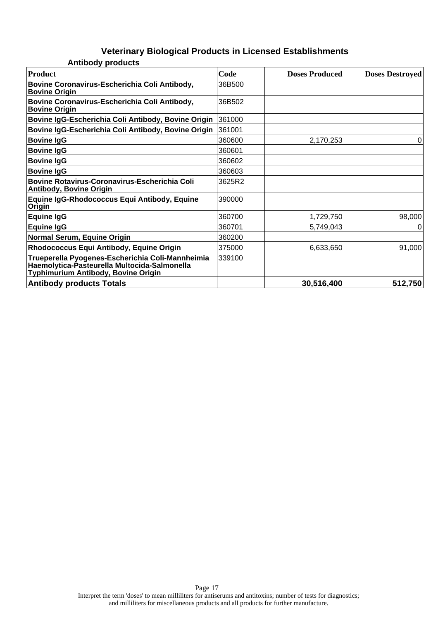| <b>Product</b>                                                                                                                          | Code   | <b>Doses Produced</b> | <b>Doses Destroyed</b> |
|-----------------------------------------------------------------------------------------------------------------------------------------|--------|-----------------------|------------------------|
| Bovine Coronavirus-Escherichia Coli Antibody,<br><b>Bovine Origin</b>                                                                   | 36B500 |                       |                        |
| Bovine Coronavirus-Escherichia Coli Antibody,<br><b>Bovine Origin</b>                                                                   | 36B502 |                       |                        |
| Bovine IgG-Escherichia Coli Antibody, Bovine Origin                                                                                     | 361000 |                       |                        |
| Bovine IgG-Escherichia Coli Antibody, Bovine Origin                                                                                     | 361001 |                       |                        |
| <b>Bovine IgG</b>                                                                                                                       | 360600 | 2,170,253             | 0                      |
| <b>Bovine IgG</b>                                                                                                                       | 360601 |                       |                        |
| <b>Bovine IgG</b>                                                                                                                       | 360602 |                       |                        |
| <b>Bovine IgG</b>                                                                                                                       | 360603 |                       |                        |
| <b>Bovine Rotavirus-Coronavirus-Escherichia Coli</b><br><b>Antibody, Bovine Origin</b>                                                  | 3625R2 |                       |                        |
| <b>Equine IgG-Rhodococcus Equi Antibody, Equine</b><br>Origin                                                                           | 390000 |                       |                        |
| <b>Equine IgG</b>                                                                                                                       | 360700 | 1,729,750             | 98,000                 |
| <b>Equine IgG</b>                                                                                                                       | 360701 | 5,749,043             | 0                      |
| Normal Serum, Equine Origin                                                                                                             | 360200 |                       |                        |
| Rhodococcus Equi Antibody, Equine Origin                                                                                                | 375000 | 6,633,650             | 91,000                 |
| Trueperella Pyogenes-Escherichia Coli-Mannheimia<br>Haemolytica-Pasteurella Multocida-Salmonella<br>Typhimurium Antibody, Bovine Origin | 339100 |                       |                        |
| <b>Antibody products Totals</b>                                                                                                         |        | 30,516,400            | 512,750                |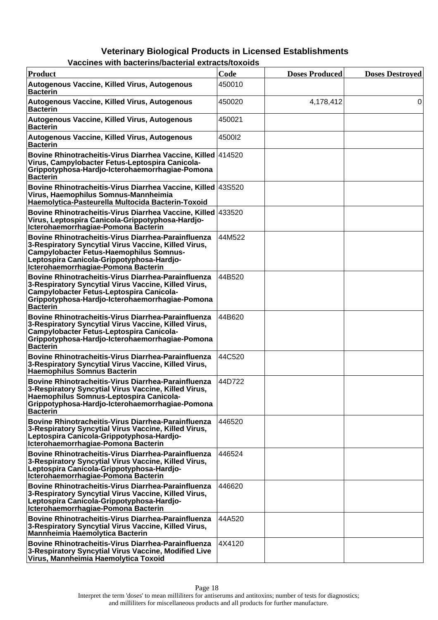| chics with bacternia bacterial extracts/toxol                                                                                                                                                                                                            |        |                       |                        |
|----------------------------------------------------------------------------------------------------------------------------------------------------------------------------------------------------------------------------------------------------------|--------|-----------------------|------------------------|
| <b>Product</b>                                                                                                                                                                                                                                           | Code   | <b>Doses Produced</b> | <b>Doses Destroyed</b> |
| Autogenous Vaccine, Killed Virus, Autogenous<br><b>Bacterin</b>                                                                                                                                                                                          | 450010 |                       |                        |
| Autogenous Vaccine, Killed Virus, Autogenous<br><b>Bacterin</b>                                                                                                                                                                                          | 450020 | 4,178,412             | 0                      |
| Autogenous Vaccine, Killed Virus, Autogenous<br><b>Bacterin</b>                                                                                                                                                                                          | 450021 |                       |                        |
| Autogenous Vaccine, Killed Virus, Autogenous<br><b>Bacterin</b>                                                                                                                                                                                          | 4500I2 |                       |                        |
| Bovine Rhinotracheitis-Virus Diarrhea Vaccine, Killed 414520<br>Virus, Campylobacter Fetus-Leptospira Canicola-<br>Grippotyphosa-Hardjo-Icterohaemorrhagiae-Pomona<br><b>Bacterin</b>                                                                    |        |                       |                        |
| Bovine Rhinotracheitis-Virus Diarrhea Vaccine, Killed 43S520<br>Virus, Haemophilus Somnus-Mannheimia<br>Haemolytica-Pasteurella Multocida Bacterin-Toxoid                                                                                                |        |                       |                        |
| Bovine Rhinotracheitis-Virus Diarrhea Vaccine, Killed 433520<br>Virus, Leptospira Canicola-Grippotyphosa-Hardjo-<br>Icterohaemorrhagiae-Pomona Bacterin                                                                                                  |        |                       |                        |
| <b>Bovine Rhinotracheitis-Virus Diarrhea-Parainfluenza</b><br>3-Respiratory Syncytial Virus Vaccine, Killed Virus,<br><b>Campylobacter Fetus-Haemophilus Somnus-</b><br>Leptospira Canicola-Grippotyphosa-Hardjo-<br>Icterohaemorrhagiae-Pomona Bacterin | 44M522 |                       |                        |
| Bovine Rhinotracheitis-Virus Diarrhea-Parainfluenza<br>3-Respiratory Syncytial Virus Vaccine, Killed Virus,<br>Campylobacter Fetus-Leptospira Canicola-<br>Grippotyphosa-Hardjo-Icterohaemorrhagiae-Pomona<br><b>Bacterin</b>                            | 44B520 |                       |                        |
| Bovine Rhinotracheitis-Virus Diarrhea-Parainfluenza<br>3-Respiratory Syncytial Virus Vaccine, Killed Virus,<br>Campylobacter Fetus-Leptospira Canicola-<br>Grippotyphosa-Hardjo-Icterohaemorrhagiae-Pomona<br><b>Bacterin</b>                            | 44B620 |                       |                        |
| <b>Bovine Rhinotracheitis-Virus Diarrhea-Parainfluenza</b><br>3-Respiratory Syncytial Virus Vaccine, Killed Virus,<br>Haemophilus Somnus Bacterin                                                                                                        | 44C520 |                       |                        |
| Bovine Rhinotracheitis-Virus Diarrhea-Parainfluenza<br>3-Respiratory Syncytial Virus Vaccine, Killed Virus,<br>Haemophilus Somnus-Leptospira Canicola-<br>Grippotyphosa-Hardjo-Icterohaemorrhagiae-Pomona<br><b>Bacterin</b>                             | 44D722 |                       |                        |
| <b>Bovine Rhinotracheitis-Virus Diarrhea-Parainfluenza</b><br>3-Respiratory Syncytial Virus Vaccine, Killed Virus,<br>Leptospira Canicola-Grippotyphosa-Hardjo-<br>Icterohaemorrhagiae-Pomona Bacterin                                                   | 446520 |                       |                        |
| Bovine Rhinotracheitis-Virus Diarrhea-Parainfluenza<br>3-Respiratory Syncytial Virus Vaccine, Killed Virus,<br>Leptospira Canicola-Grippotyphosa-Hardjo-<br>Icterohaemorrhagiae-Pomona Bacterin                                                          | 446524 |                       |                        |
| Bovine Rhinotracheitis-Virus Diarrhea-Parainfluenza<br>3-Respiratory Syncytial Virus Vaccine, Killed Virus,<br>Leptospira Canicola-Grippotyphosa-Hardjo-<br>Icterohaemorrhagiae-Pomona Bacterin                                                          | 446620 |                       |                        |
| <b>Bovine Rhinotracheitis-Virus Diarrhea-Parainfluenza</b><br>3-Respiratory Syncytial Virus Vaccine, Killed Virus,<br>Mannheimia Haemolytica Bacterin                                                                                                    | 44A520 |                       |                        |
| <b>Bovine Rhinotracheitis-Virus Diarrhea-Parainfluenza</b><br>3-Respiratory Syncytial Virus Vaccine, Modified Live<br>Virus, Mannheimia Haemolytica Toxoid                                                                                               | 4X4120 |                       |                        |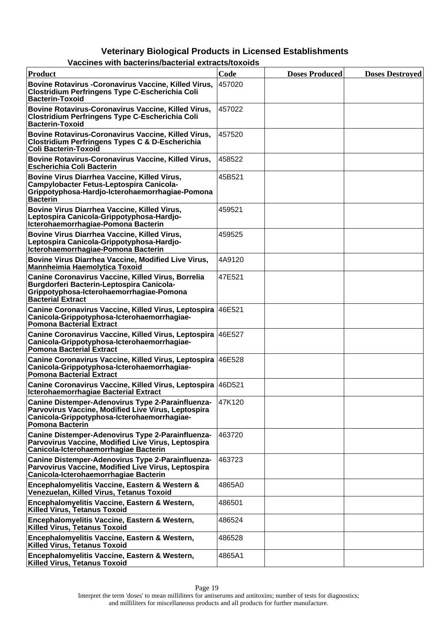| <b>Product</b>                                                                                                                                                                    | Code   | <b>Doses Produced</b> | <b>Doses Destroyed</b> |
|-----------------------------------------------------------------------------------------------------------------------------------------------------------------------------------|--------|-----------------------|------------------------|
| Bovine Rotavirus - Coronavirus Vaccine, Killed Virus,<br><b>Clostridium Perfringens Type C-Escherichia Coli</b><br><b>Bacterin-Toxoid</b>                                         | 457020 |                       |                        |
| Bovine Rotavirus-Coronavirus Vaccine, Killed Virus,<br><b>Clostridium Perfringens Type C-Escherichia Coli</b><br><b>Bacterin-Toxoid</b>                                           | 457022 |                       |                        |
| Bovine Rotavirus-Coronavirus Vaccine, Killed Virus,<br><b>Clostridium Perfringens Types C &amp; D-Escherichia</b><br>Coli Bacterin-Toxoid                                         | 457520 |                       |                        |
| Bovine Rotavirus-Coronavirus Vaccine, Killed Virus,<br><b>Escherichia Coli Bacterin</b>                                                                                           | 458522 |                       |                        |
| Bovine Virus Diarrhea Vaccine, Killed Virus,<br>Campylobacter Fetus-Leptospira Canicola-<br>Grippotyphosa-Hardjo-Icterohaemorrhagiae-Pomona<br><b>Bacterin</b>                    | 45B521 |                       |                        |
| Bovine Virus Diarrhea Vaccine, Killed Virus,<br>Leptospira Canicola-Grippotyphosa-Hardjo-<br>Icterohaemorrhagiae-Pomona Bacterin                                                  | 459521 |                       |                        |
| Bovine Virus Diarrhea Vaccine, Killed Virus,<br>Leptospira Canicola-Grippotyphosa-Hardjo-<br>Icterohaemorrhagiae-Pomona Bacterin                                                  | 459525 |                       |                        |
| Bovine Virus Diarrhea Vaccine, Modified Live Virus,<br><b>Mannheimia Haemolytica Toxoid</b>                                                                                       | 4A9120 |                       |                        |
| <b>Canine Coronavirus Vaccine, Killed Virus, Borrelia</b><br>Burgdorferi Bacterin-Leptospira Canicola-<br>Grippotyphosa-Icterohaemorrhagiae-Pomona<br><b>Bacterial Extract</b>    | 47E521 |                       |                        |
| Canine Coronavirus Vaccine, Killed Virus, Leptospira 46E521<br>Canicola-Grippotyphosa-Icterohaemorrhagiae-<br><b>Pomona Bacterial Extract</b>                                     |        |                       |                        |
| Canine Coronavirus Vaccine, Killed Virus, Leptospira 46E527<br>Canicola-Grippotyphosa-Icterohaemorrhagiae-<br>Pomona Bacterial Extract                                            |        |                       |                        |
| Canine Coronavirus Vaccine, Killed Virus, Leptospira 46E528<br>Canicola-Grippotyphosa-Icterohaemorrhagiae-<br><b>Pomona Bacterial Extract</b>                                     |        |                       |                        |
| Canine Coronavirus Vaccine, Killed Virus, Leptospira 46D521<br>Icterohaemorrhagiae Bacterial Extract                                                                              |        |                       |                        |
| Canine Distemper-Adenovirus Type 2-Parainfluenza-<br>Parvovirus Vaccine, Modified Live Virus, Leptospira<br>Canicola-Grippotyphosa-Icterohaemorrhagiae-<br><b>Pomona Bacterin</b> | 47K120 |                       |                        |
| Canine Distemper-Adenovirus Type 2-Parainfluenza-<br>Parvovirus Vaccine, Modified Live Virus, Leptospira<br>Canicola-Icterohaemorrhagiae Bacterin                                 | 463720 |                       |                        |
| Canine Distemper-Adenovirus Type 2-Parainfluenza-<br>Parvovirus Vaccine, Modified Live Virus, Leptospira<br>Canicola-Icterohaemorrhagiae Bacterin                                 | 463723 |                       |                        |
| Encephalomyelitis Vaccine, Eastern & Western &<br>Venezuelan, Killed Virus, Tetanus Toxoid                                                                                        | 4865A0 |                       |                        |
| Encephalomyelitis Vaccine, Eastern & Western,<br><b>Killed Virus, Tetanus Toxoid</b>                                                                                              | 486501 |                       |                        |
| Encephalomyelitis Vaccine, Eastern & Western,<br><b>Killed Virus, Tetanus Toxoid</b>                                                                                              | 486524 |                       |                        |
| Encephalomyelitis Vaccine, Eastern & Western,<br><b>Killed Virus, Tetanus Toxoid</b>                                                                                              | 486528 |                       |                        |
| Encephalomyelitis Vaccine, Eastern & Western,<br><b>Killed Virus, Tetanus Toxoid</b>                                                                                              | 4865A1 |                       |                        |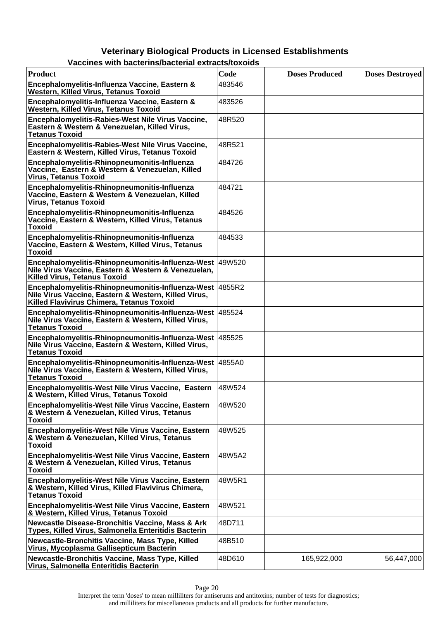### **Veterinary Biological Products in Licensed Establishments Vaccines with bacterins/bacterial extracts/toxoids**

| <b>Product</b>                                                                                                                                                | Code   | <b>Doses Produced</b> | <b>Doses Destroved</b> |
|---------------------------------------------------------------------------------------------------------------------------------------------------------------|--------|-----------------------|------------------------|
| Encephalomyelitis-Influenza Vaccine, Eastern &<br>Western, Killed Virus, Tetanus Toxoid                                                                       | 483546 |                       |                        |
| Encephalomyelitis-Influenza Vaccine, Eastern &<br>Western, Killed Virus, Tetanus Toxoid                                                                       | 483526 |                       |                        |
| Encephalomyelitis-Rabies-West Nile Virus Vaccine,<br>Eastern & Western & Venezuelan, Killed Virus,<br><b>Tetanus Toxoid</b>                                   | 48R520 |                       |                        |
| Encephalomyelitis-Rabies-West Nile Virus Vaccine,<br>Eastern & Western, Killed Virus, Tetanus Toxoid                                                          | 48R521 |                       |                        |
| Encephalomyelitis-Rhinopneumonitis-Influenza<br>Vaccine, Eastern & Western & Venezuelan, Killed<br><b>Virus, Tetanus Toxoid</b>                               | 484726 |                       |                        |
| Encephalomyelitis-Rhinopneumonitis-Influenza<br>Vaccine, Eastern & Western & Venezuelan, Killed<br><b>Virus, Tetanus Toxoid</b>                               | 484721 |                       |                        |
| Encephalomyelitis-Rhinopneumonitis-Influenza<br>Vaccine, Eastern & Western, Killed Virus, Tetanus<br><b>Toxoid</b>                                            | 484526 |                       |                        |
| Encephalomyelitis-Rhinopneumonitis-Influenza<br>Vaccine, Eastern & Western, Killed Virus, Tetanus<br><b>Toxoid</b>                                            | 484533 |                       |                        |
| Encephalomyelitis-Rhinopneumonitis-Influenza-West 49W520<br>Nile Virus Vaccine, Eastern & Western & Venezuelan,<br><b>Killed Virus, Tetanus Toxoid</b>        |        |                       |                        |
| Encephalomyelitis-Rhinopneumonitis-Influenza-West 4855R2<br>Nile Virus Vaccine, Eastern & Western, Killed Virus,<br>Killed Flavivirus Chimera, Tetanus Toxoid |        |                       |                        |
| Encephalomyelitis-Rhinopneumonitis-Influenza-West   485524<br>Nile Virus Vaccine, Eastern & Western, Killed Virus,<br><b>Tetanus Toxoid</b>                   |        |                       |                        |
| Encephalomyelitis-Rhinopneumonitis-Influenza-West   485525<br>Nile Virus Vaccine, Eastern & Western, Killed Virus,<br><b>Tetanus Toxoid</b>                   |        |                       |                        |
| Encephalomyelitis-Rhinopneumonitis-Influenza-West 4855A0<br>Nile Virus Vaccine, Eastern & Western, Killed Virus,<br><b>Tetanus Toxoid</b>                     |        |                       |                        |
| Encephalomyelitis-West Nile Virus Vaccine, Eastern<br>& Western, Killed Virus, Tetanus Toxoid                                                                 | 48W524 |                       |                        |
| Encephalomyelitis-West Nile Virus Vaccine, Eastern<br>& Western & Venezuelan, Killed Virus, Tetanus<br><b>Toxoid</b>                                          | 48W520 |                       |                        |
| Encephalomyelitis-West Nile Virus Vaccine, Eastern<br>& Western & Venezuelan, Killed Virus, Tetanus<br><b>Toxoid</b>                                          | 48W525 |                       |                        |
| Encephalomyelitis-West Nile Virus Vaccine, Eastern<br>& Western & Venezuelan, Killed Virus, Tetanus<br><b>Toxoid</b>                                          | 48W5A2 |                       |                        |
| Encephalomyelitis-West Nile Virus Vaccine, Eastern<br>& Western, Killed Virus, Killed Flavivirus Chimera,<br><b>Tetanus Toxoid</b>                            | 48W5R1 |                       |                        |
| Encephalomyelitis-West Nile Virus Vaccine, Eastern<br>& Western, Killed Virus, Tetanus Toxoid                                                                 | 48W521 |                       |                        |
| <b>Newcastle Disease-Bronchitis Vaccine, Mass &amp; Ark</b><br>Types, Killed Virus, Salmonella Enteritidis Bacterin                                           | 48D711 |                       |                        |
| Newcastle-Bronchitis Vaccine, Mass Type, Killed<br>Virus, Mycoplasma Gallisepticum Bacterin                                                                   | 48B510 |                       |                        |
| Newcastle-Bronchitis Vaccine, Mass Type, Killed<br>Virus, Salmonella Enteritidis Bacterin                                                                     | 48D610 | 165,922,000           | 56,447,000             |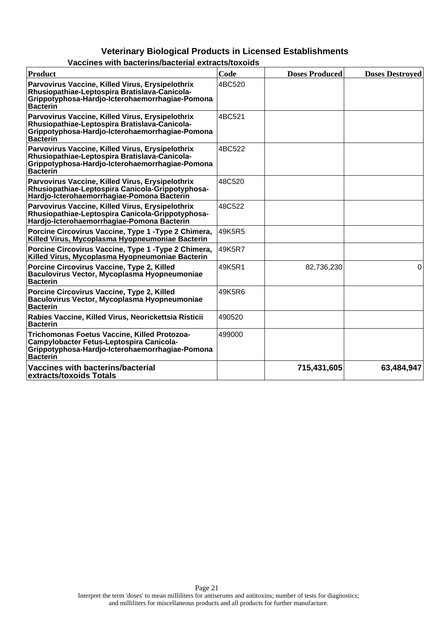| <b>Product</b>                                                                                                                                                          | Code   | <b>Doses Produced</b> | <b>Doses Destroyed</b> |
|-------------------------------------------------------------------------------------------------------------------------------------------------------------------------|--------|-----------------------|------------------------|
| Parvovirus Vaccine, Killed Virus, Erysipelothrix<br>Rhusiopathiae-Leptospira Bratislava-Canicola-<br>Grippotyphosa-Hardjo-Icterohaemorrhagiae-Pomona<br><b>Bacterin</b> | 4BC520 |                       |                        |
| Parvovirus Vaccine, Killed Virus, Erysipelothrix<br>Rhusiopathiae-Leptospira Bratislava-Canicola-<br>Grippotyphosa-Hardjo-Icterohaemorrhagiae-Pomona<br><b>Bacterin</b> | 4BC521 |                       |                        |
| Parvovirus Vaccine, Killed Virus, Erysipelothrix<br>Rhusiopathiae-Leptospira Bratislava-Canicola-<br>Grippotyphosa-Hardjo-Icterohaemorrhagiae-Pomona<br><b>Bacterin</b> | 4BC522 |                       |                        |
| Parvovirus Vaccine, Killed Virus, Erysipelothrix<br>Rhusiopathiae-Leptospira Canicola-Grippotyphosa-<br>Hardjo-Icterohaemorrhagiae-Pomona Bacterin                      | 48C520 |                       |                        |
| Parvovirus Vaccine, Killed Virus, Erysipelothrix<br>Rhusiopathiae-Leptospira Canicola-Grippotyphosa-<br>Hardjo-Icterohaemorrhagiae-Pomona Bacterin                      | 48C522 |                       |                        |
| Porcine Circovirus Vaccine, Type 1 - Type 2 Chimera,<br>Killed Virus, Mycoplasma Hyopneumoniae Bacterin                                                                 | 49K5R5 |                       |                        |
| Porcine Circovirus Vaccine, Type 1 - Type 2 Chimera,<br>Killed Virus, Mycoplasma Hyopneumoniae Bacterin                                                                 | 49K5R7 |                       |                        |
| Porcine Circovirus Vaccine, Type 2, Killed<br>Baculovirus Vector, Mycoplasma Hyopneumoniae<br><b>Bacterin</b>                                                           | 49K5R1 | 82,736,230            | 0                      |
| Porcine Circovirus Vaccine, Type 2, Killed<br>Baculovirus Vector, Mycoplasma Hyopneumoniae<br><b>Bacterin</b>                                                           | 49K5R6 |                       |                        |
| Rabies Vaccine, Killed Virus, Neorickettsia Risticii<br><b>Bacterin</b>                                                                                                 | 490520 |                       |                        |
| Trichomonas Foetus Vaccine, Killed Protozoa-<br>Campylobacter Fetus-Leptospira Canicola-<br>Grippotyphosa-Hardjo-Icterohaemorrhagiae-Pomona<br><b>Bacterin</b>          | 499000 |                       |                        |
| Vaccines with bacterins/bacterial<br>extracts/toxoids Totals                                                                                                            |        | 715,431,605           | 63,484,947             |

### **Vaccines with bacterins/bacterial extracts/toxoids**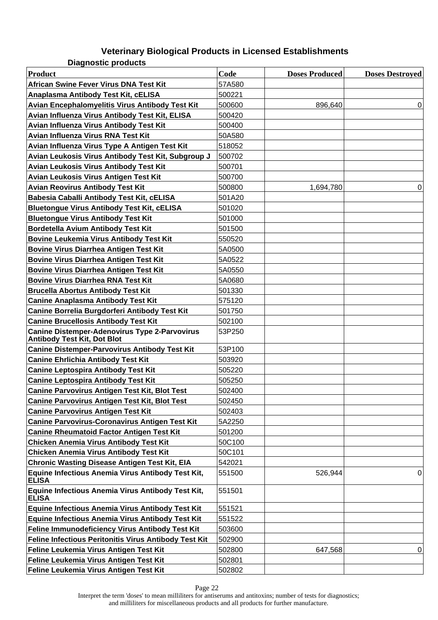**Diagnostic products**

| <b>Product</b>                                                                      | Code   | <b>Doses Produced</b> | <b>Doses Destroyed</b> |
|-------------------------------------------------------------------------------------|--------|-----------------------|------------------------|
| African Swine Fever Virus DNA Test Kit                                              | 57A580 |                       |                        |
| Anaplasma Antibody Test Kit, cELISA                                                 | 500221 |                       |                        |
| Avian Encephalomyelitis Virus Antibody Test Kit                                     | 500600 | 896,640               | $\Omega$               |
| Avian Influenza Virus Antibody Test Kit, ELISA                                      | 500420 |                       |                        |
| Avian Influenza Virus Antibody Test Kit                                             | 500400 |                       |                        |
| Avian Influenza Virus RNA Test Kit                                                  | 50A580 |                       |                        |
| Avian Influenza Virus Type A Antigen Test Kit                                       | 518052 |                       |                        |
| Avian Leukosis Virus Antibody Test Kit, Subgroup J                                  | 500702 |                       |                        |
| Avian Leukosis Virus Antibody Test Kit                                              | 500701 |                       |                        |
| Avian Leukosis Virus Antigen Test Kit                                               | 500700 |                       |                        |
| <b>Avian Reovirus Antibody Test Kit</b>                                             | 500800 | 1,694,780             | 0                      |
| Babesia Caballi Antibody Test Kit, cELISA                                           | 501A20 |                       |                        |
| <b>Bluetongue Virus Antibody Test Kit, cELISA</b>                                   | 501020 |                       |                        |
| <b>Bluetongue Virus Antibody Test Kit</b>                                           | 501000 |                       |                        |
| Bordetella Avium Antibody Test Kit                                                  | 501500 |                       |                        |
| <b>Bovine Leukemia Virus Antibody Test Kit</b>                                      | 550520 |                       |                        |
| <b>Bovine Virus Diarrhea Antigen Test Kit</b>                                       | 5A0500 |                       |                        |
| <b>Bovine Virus Diarrhea Antigen Test Kit</b>                                       | 5A0522 |                       |                        |
| <b>Bovine Virus Diarrhea Antigen Test Kit</b>                                       | 5A0550 |                       |                        |
| <b>Bovine Virus Diarrhea RNA Test Kit</b>                                           | 5A0680 |                       |                        |
| <b>Brucella Abortus Antibody Test Kit</b>                                           | 501330 |                       |                        |
| <b>Canine Anaplasma Antibody Test Kit</b>                                           | 575120 |                       |                        |
| Canine Borrelia Burgdorferi Antibody Test Kit                                       | 501750 |                       |                        |
| <b>Canine Brucellosis Antibody Test Kit</b>                                         | 502100 |                       |                        |
| <b>Canine Distemper-Adenovirus Type 2-Parvovirus</b><br>Antibody Test Kit, Dot Blot | 53P250 |                       |                        |
| <b>Canine Distemper-Parvovirus Antibody Test Kit</b>                                | 53P100 |                       |                        |
| <b>Canine Ehrlichia Antibody Test Kit</b>                                           | 503920 |                       |                        |
| <b>Canine Leptospira Antibody Test Kit</b>                                          | 505220 |                       |                        |
| <b>Canine Leptospira Antibody Test Kit</b>                                          | 505250 |                       |                        |
| <b>Canine Parvovirus Antigen Test Kit, Blot Test</b>                                | 502400 |                       |                        |
| <b>Canine Parvovirus Antigen Test Kit, Blot Test</b>                                | 502450 |                       |                        |
| <b>Canine Parvovirus Antigen Test Kit</b>                                           | 502403 |                       |                        |
| <b>Canine Parvovirus-Coronavirus Antigen Test Kit</b>                               | 5A2250 |                       |                        |
| <b>Canine Rheumatoid Factor Antigen Test Kit</b>                                    | 501200 |                       |                        |
| <b>Chicken Anemia Virus Antibody Test Kit</b>                                       | 50C100 |                       |                        |
| <b>Chicken Anemia Virus Antibody Test Kit</b>                                       | 50C101 |                       |                        |
| <b>Chronic Wasting Disease Antigen Test Kit, EIA</b>                                | 542021 |                       |                        |
| Equine Infectious Anemia Virus Antibody Test Kit,<br><b>ELISA</b>                   | 551500 | 526,944               | $\mathbf 0$            |
| Equine Infectious Anemia Virus Antibody Test Kit,<br><b>ELISA</b>                   | 551501 |                       |                        |
| <b>Equine Infectious Anemia Virus Antibody Test Kit</b>                             | 551521 |                       |                        |
| <b>Equine Infectious Anemia Virus Antibody Test Kit</b>                             | 551522 |                       |                        |
| Feline Immunodeficiency Virus Antibody Test Kit                                     | 503600 |                       |                        |
| Feline Infectious Peritonitis Virus Antibody Test Kit                               | 502900 |                       |                        |
| Feline Leukemia Virus Antigen Test Kit                                              | 502800 | 647,568               | 0                      |
| Feline Leukemia Virus Antigen Test Kit                                              | 502801 |                       |                        |
| Feline Leukemia Virus Antigen Test Kit                                              | 502802 |                       |                        |

Page 22

Interpret the term 'doses' to mean milliliters for antiserums and antitoxins; number of tests for diagnostics; and milliliters for miscellaneous products and all products for further manufacture.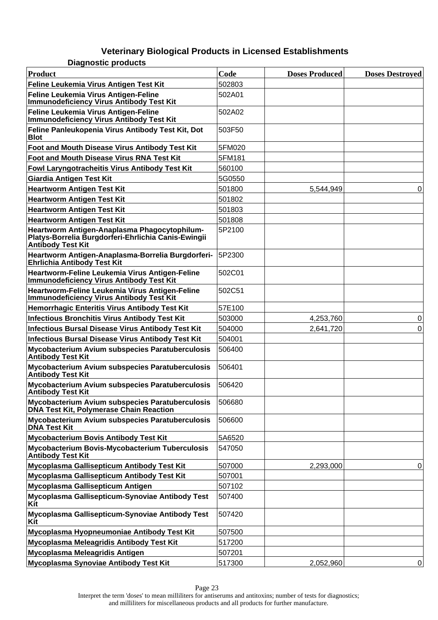**Diagnostic products**

| <b>Product</b>                                                                                                                  | Code   | <b>Doses Produced</b> | <b>Doses Destroyed</b> |
|---------------------------------------------------------------------------------------------------------------------------------|--------|-----------------------|------------------------|
| Feline Leukemia Virus Antigen Test Kit                                                                                          | 502803 |                       |                        |
| Feline Leukemia Virus Antigen-Feline<br><b>Immunodeficiency Virus Antibody Test Kit</b>                                         | 502A01 |                       |                        |
| Feline Leukemia Virus Antigen-Feline<br><b>Immunodeficiency Virus Antibody Test Kit</b>                                         | 502A02 |                       |                        |
| Feline Panleukopenia Virus Antibody Test Kit, Dot<br><b>Blot</b>                                                                | 503F50 |                       |                        |
| Foot and Mouth Disease Virus Antibody Test Kit                                                                                  | 5FM020 |                       |                        |
| Foot and Mouth Disease Virus RNA Test Kit                                                                                       | 5FM181 |                       |                        |
| Fowl Laryngotracheitis Virus Antibody Test Kit                                                                                  | 560100 |                       |                        |
| <b>Giardia Antigen Test Kit</b>                                                                                                 | 5G0550 |                       |                        |
| <b>Heartworm Antigen Test Kit</b>                                                                                               | 501800 | 5,544,949             | 0                      |
| <b>Heartworm Antigen Test Kit</b>                                                                                               | 501802 |                       |                        |
| <b>Heartworm Antigen Test Kit</b>                                                                                               | 501803 |                       |                        |
| <b>Heartworm Antigen Test Kit</b>                                                                                               | 501808 |                       |                        |
| Heartworm Antigen-Anaplasma Phagocytophilum-<br>Platys-Borrelia Burgdorferi-Ehrlichia Canis-Ewingii<br><b>Antibody Test Kit</b> | 5P2100 |                       |                        |
| Heartworm Antigen-Anaplasma-Borrelia Burgdorferi-<br><b>Ehrlichia Antibody Test Kit</b>                                         | 5P2300 |                       |                        |
| Heartworm-Feline Leukemia Virus Antigen-Feline<br><b>Immunodeficiency Virus Antibody Test Kit</b>                               | 502C01 |                       |                        |
| Heartworm-Feline Leukemia Virus Antigen-Feline<br><b>Immunodeficiency Virus Antibody Test Kit</b>                               | 502C51 |                       |                        |
| Hemorrhagic Enteritis Virus Antibody Test Kit                                                                                   | 57E100 |                       |                        |
| <b>Infectious Bronchitis Virus Antibody Test Kit</b>                                                                            | 503000 | 4,253,760             | 0                      |
| <b>Infectious Bursal Disease Virus Antibody Test Kit</b>                                                                        | 504000 | 2,641,720             | 0                      |
| <b>Infectious Bursal Disease Virus Antibody Test Kit</b>                                                                        | 504001 |                       |                        |
| Mycobacterium Avium subspecies Paratuberculosis<br><b>Antibody Test Kit</b>                                                     | 506400 |                       |                        |
| Mycobacterium Avium subspecies Paratuberculosis<br><b>Antibody Test Kit</b>                                                     | 506401 |                       |                        |
| Mycobacterium Avium subspecies Paratuberculosis<br><b>Antibody Test Kit</b>                                                     | 506420 |                       |                        |
| Mycobacterium Avium subspecies Paratuberculosis<br>DNA Test Kit, Polymerase Chain Reaction                                      | 506680 |                       |                        |
| Mycobacterium Avium subspecies Paratuberculosis<br><b>DNA Test Kit</b>                                                          | 506600 |                       |                        |
| <b>Mycobacterium Bovis Antibody Test Kit</b>                                                                                    | 5A6520 |                       |                        |
| Mycobacterium Bovis-Mycobacterium Tuberculosis<br><b>Antibody Test Kit</b>                                                      | 547050 |                       |                        |
| Mycoplasma Gallisepticum Antibody Test Kit                                                                                      | 507000 | 2,293,000             | 0                      |
| Mycoplasma Gallisepticum Antibody Test Kit                                                                                      | 507001 |                       |                        |
| Mycoplasma Gallisepticum Antigen                                                                                                | 507102 |                       |                        |
| Mycoplasma Gallisepticum-Synoviae Antibody Test<br>Kit                                                                          | 507400 |                       |                        |
| Mycoplasma Gallisepticum-Synoviae Antibody Test<br>Kit                                                                          | 507420 |                       |                        |
| Mycoplasma Hyopneumoniae Antibody Test Kit                                                                                      | 507500 |                       |                        |
| Mycoplasma Meleagridis Antibody Test Kit                                                                                        | 517200 |                       |                        |
| Mycoplasma Meleagridis Antigen                                                                                                  | 507201 |                       |                        |
| Mycoplasma Synoviae Antibody Test Kit                                                                                           | 517300 | 2,052,960             | 0                      |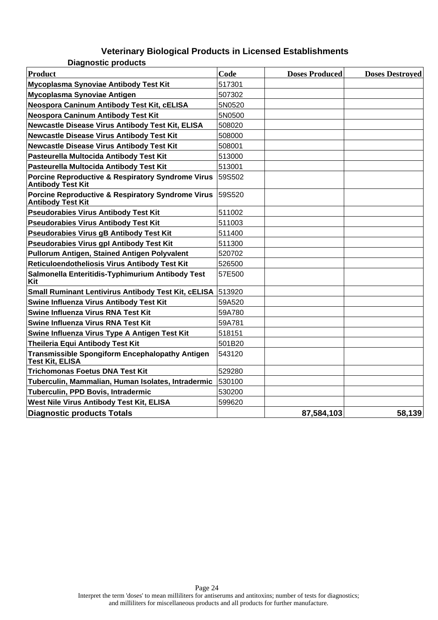|  | <b>Diagnostic products</b> |  |
|--|----------------------------|--|
|  |                            |  |

| <b>Product</b>                                                                           | Code   | <b>Doses Produced</b> | <b>Doses Destroyed</b> |
|------------------------------------------------------------------------------------------|--------|-----------------------|------------------------|
| Mycoplasma Synoviae Antibody Test Kit                                                    | 517301 |                       |                        |
| Mycoplasma Synoviae Antigen                                                              | 507302 |                       |                        |
| Neospora Caninum Antibody Test Kit, cELISA                                               | 5N0520 |                       |                        |
| Neospora Caninum Antibody Test Kit                                                       | 5N0500 |                       |                        |
| Newcastle Disease Virus Antibody Test Kit, ELISA                                         | 508020 |                       |                        |
| <b>Newcastle Disease Virus Antibody Test Kit</b>                                         | 508000 |                       |                        |
| <b>Newcastle Disease Virus Antibody Test Kit</b>                                         | 508001 |                       |                        |
| Pasteurella Multocida Antibody Test Kit                                                  | 513000 |                       |                        |
| Pasteurella Multocida Antibody Test Kit                                                  | 513001 |                       |                        |
| <b>Porcine Reproductive &amp; Respiratory Syndrome Virus</b><br><b>Antibody Test Kit</b> | 59S502 |                       |                        |
| <b>Porcine Reproductive &amp; Respiratory Syndrome Virus</b><br><b>Antibody Test Kit</b> | 59S520 |                       |                        |
| Pseudorabies Virus Antibody Test Kit                                                     | 511002 |                       |                        |
| <b>Pseudorabies Virus Antibody Test Kit</b>                                              | 511003 |                       |                        |
| Pseudorabies Virus gB Antibody Test Kit                                                  | 511400 |                       |                        |
| <b>Pseudorabies Virus gpl Antibody Test Kit</b>                                          | 511300 |                       |                        |
| Pullorum Antigen, Stained Antigen Polyvalent                                             | 520702 |                       |                        |
| Reticuloendotheliosis Virus Antibody Test Kit                                            | 526500 |                       |                        |
| Salmonella Enteritidis-Typhimurium Antibody Test<br>Kit                                  | 57E500 |                       |                        |
| Small Ruminant Lentivirus Antibody Test Kit, cELISA                                      | 513920 |                       |                        |
| Swine Influenza Virus Antibody Test Kit                                                  | 59A520 |                       |                        |
| Swine Influenza Virus RNA Test Kit                                                       | 59A780 |                       |                        |
| Swine Influenza Virus RNA Test Kit                                                       | 59A781 |                       |                        |
| Swine Influenza Virus Type A Antigen Test Kit                                            | 518151 |                       |                        |
| Theileria Equi Antibody Test Kit                                                         | 501B20 |                       |                        |
| <b>Transmissible Spongiform Encephalopathy Antigen</b><br><b>Test Kit, ELISA</b>         | 543120 |                       |                        |
| <b>Trichomonas Foetus DNA Test Kit</b>                                                   | 529280 |                       |                        |
| Tuberculin, Mammalian, Human Isolates, Intradermic                                       | 530100 |                       |                        |
| Tuberculin, PPD Bovis, Intradermic                                                       | 530200 |                       |                        |
| West Nile Virus Antibody Test Kit, ELISA                                                 | 599620 |                       |                        |
| <b>Diagnostic products Totals</b>                                                        |        | 87,584,103            | 58,139                 |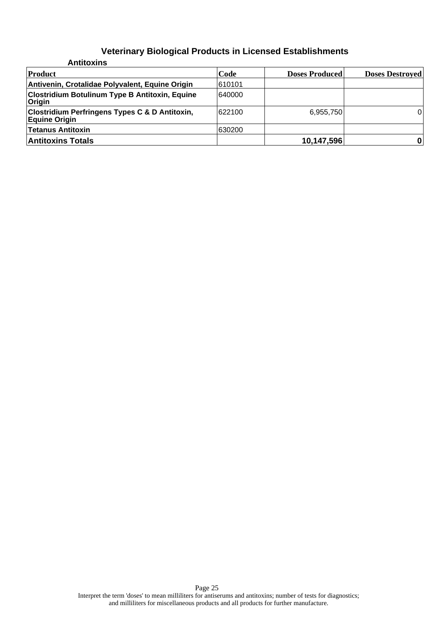| <b>Antitoxins</b>                                                                 |        |                       |                        |
|-----------------------------------------------------------------------------------|--------|-----------------------|------------------------|
| <b>Product</b>                                                                    | Code   | <b>Doses Produced</b> | <b>Doses Destroyed</b> |
| Antivenin, Crotalidae Polyvalent, Equine Origin                                   | 610101 |                       |                        |
| <b>Clostridium Botulinum Type B Antitoxin, Equine</b><br>Origin                   | 640000 |                       |                        |
| <b>Clostridium Perfringens Types C &amp; D Antitoxin,</b><br><b>Equine Origin</b> | 622100 | 6,955,750             | 0                      |
| <b>Tetanus Antitoxin</b>                                                          | 630200 |                       |                        |
| <b>Antitoxins Totals</b>                                                          |        | 10,147,596            |                        |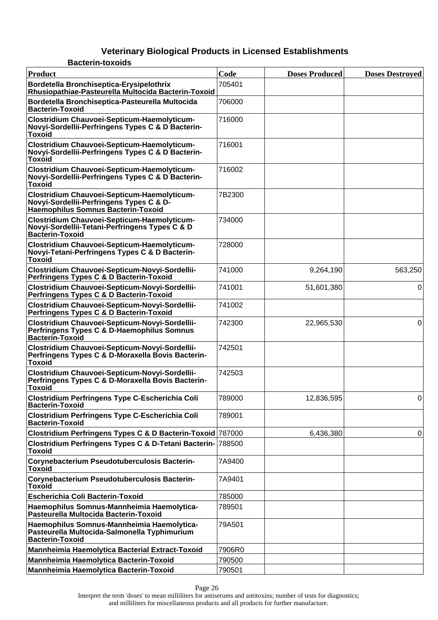#### **Veterinary Biological Products in Licensed Establishments Bacterin-toxoids**

| Product                                                                                                                       | Code   | <b>Doses Produced</b> | <b>Doses Destroyed</b> |
|-------------------------------------------------------------------------------------------------------------------------------|--------|-----------------------|------------------------|
| Bordetella Bronchiseptica-Erysipelothrix<br>Rhusiopathiae-Pasteurella Multocida Bacterin-Toxoid                               | 705401 |                       |                        |
| Bordetella Bronchiseptica-Pasteurella Multocida<br><b>Bacterin-Toxoid</b>                                                     | 706000 |                       |                        |
| Clostridium Chauvoei-Septicum-Haemolyticum-<br>Novyi-Sordellii-Perfringens Types C & D Bacterin-<br><b>Toxoid</b>             | 716000 |                       |                        |
| Clostridium Chauvoei-Septicum-Haemolyticum-<br>Novyi-Sordellii-Perfringens Types C & D Bacterin-<br><b>Toxoid</b>             | 716001 |                       |                        |
| Clostridium Chauvoei-Septicum-Haemolyticum-<br>Novyi-Sordellii-Perfringens Types C & D Bacterin-<br><b>Toxoid</b>             | 716002 |                       |                        |
| Clostridium Chauvoei-Septicum-Haemolyticum-<br>Novyi-Sordellii-Perfringens Types C & D-<br>Haemophilus Somnus Bacterin-Toxoid | 7B2300 |                       |                        |
| Clostridium Chauvoei-Septicum-Haemolyticum-<br>Novyi-Sordellii-Tetani-Perfringens Types C & D<br>Bacterin-Toxoid              | 734000 |                       |                        |
| Clostridium Chauvoei-Septicum-Haemolyticum-<br>Novyi-Tetani-Perfringens Types C & D Bacterin-<br><b>Toxoid</b>                | 728000 |                       |                        |
| Clostridium Chauvoei-Septicum-Novyi-Sordellii-<br>Perfringens Types C & D Bacterin-Toxoid                                     | 741000 | 9,264,190             | 563,250                |
| Clostridium Chauvoei-Septicum-Novyi-Sordellii-<br>Perfringens Types C & D Bacterin-Toxoid                                     | 741001 | 51,601,380            | 0                      |
| Clostridium Chauvoei-Septicum-Novyi-Sordellii-<br>Perfringens Types C & D Bacterin-Toxoid                                     | 741002 |                       |                        |
| Clostridium Chauvoei-Septicum-Novyi-Sordellii-<br>Perfringens Types C & D-Haemophilus Somnus<br><b>Bacterin-Toxoid</b>        | 742300 | 22,965,530            | 0                      |
| Clostridium Chauvoei-Septicum-Novyi-Sordellii-<br>Perfringens Types C & D-Moraxella Bovis Bacterin-<br><b>Toxoid</b>          | 742501 |                       |                        |
| Clostridium Chauvoei-Septicum-Novyi-Sordellii-<br>Perfringens Types C & D-Moraxella Bovis Bacterin-<br><b>Toxoid</b>          | 742503 |                       |                        |
| <b>Clostridium Perfringens Type C-Escherichia Coli</b><br><b>Bacterin-Toxoid</b>                                              | 789000 | 12,836,595            | $\Omega$               |
| Clostridium Perfringens Type C-Escherichia Coli<br><b>Bacterin-Toxoid</b>                                                     | 789001 |                       |                        |
| Clostridium Perfringens Types C & D Bacterin-Toxoid 787000                                                                    |        | 6,436,380             | 0                      |
| Clostridium Perfringens Types C & D-Tetani Bacterin- 788500<br><b>Toxoid</b>                                                  |        |                       |                        |
| Corynebacterium Pseudotuberculosis Bacterin-<br><b>Toxoid</b>                                                                 | 7A9400 |                       |                        |
| Corynebacterium Pseudotuberculosis Bacterin-<br><b>Toxoid</b>                                                                 | 7A9401 |                       |                        |
| <b>Escherichia Coli Bacterin-Toxoid</b>                                                                                       | 785000 |                       |                        |
| Haemophilus Somnus-Mannheimia Haemolytica-<br>Pasteurella Multocida Bacterin-Toxoid                                           | 789501 |                       |                        |
| Haemophilus Somnus-Mannheimia Haemolytica-<br>Pasteurella Multocida-Salmonella Typhimurium<br><b>Bacterin-Toxoid</b>          | 79A501 |                       |                        |
| Mannheimia Haemolytica Bacterial Extract-Toxoid                                                                               | 7906R0 |                       |                        |
| Mannheimia Haemolytica Bacterin-Toxoid                                                                                        | 790500 |                       |                        |
| Mannheimia Haemolytica Bacterin-Toxoid                                                                                        | 790501 |                       |                        |
|                                                                                                                               |        |                       |                        |

Page 26

Interpret the term 'doses' to mean milliliters for antiserums and antitoxins; number of tests for diagnostics; and milliliters for miscellaneous products and all products for further manufacture.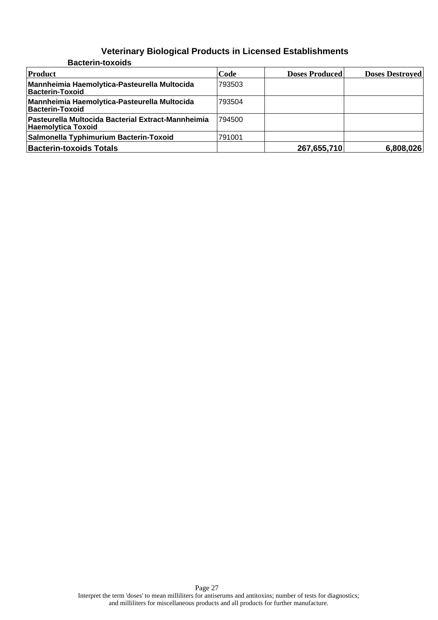| <b>Bacterin-toxoids</b>                                                  |        |                       |                        |
|--------------------------------------------------------------------------|--------|-----------------------|------------------------|
| Product                                                                  | Code   | <b>Doses Produced</b> | <b>Doses Destroyed</b> |
| Mannheimia Haemolytica-Pasteurella Multocida<br>Bacterin-Toxoid          | 793503 |                       |                        |
| Mannheimia Haemolytica-Pasteurella Multocida<br>Bacterin-Toxoid          | 793504 |                       |                        |
| Pasteurella Multocida Bacterial Extract-Mannheimia<br>Haemolytica Toxoid | 794500 |                       |                        |
| Salmonella Typhimurium Bacterin-Toxoid                                   | 791001 |                       |                        |
| <b>Bacterin-toxoids Totals</b>                                           |        | 267,655,710           | 6,808,026              |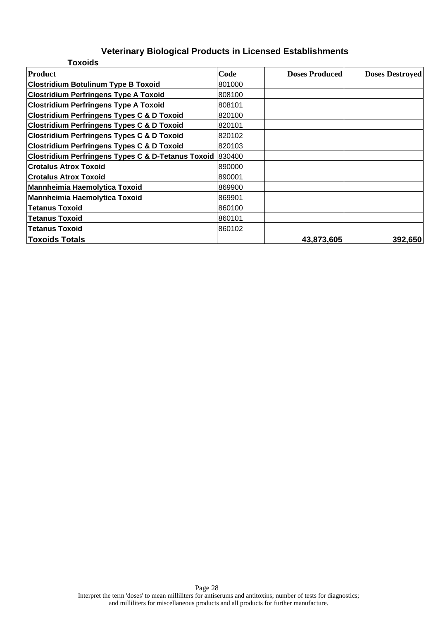| <b>Toxoids</b>                                            |        |                       |                        |
|-----------------------------------------------------------|--------|-----------------------|------------------------|
| Product                                                   | Code   | <b>Doses Produced</b> | <b>Doses Destroyed</b> |
| <b>Clostridium Botulinum Type B Toxoid</b>                | 801000 |                       |                        |
| <b>Clostridium Perfringens Type A Toxoid</b>              | 808100 |                       |                        |
| <b>Clostridium Perfringens Type A Toxoid</b>              | 808101 |                       |                        |
| <b>Clostridium Perfringens Types C &amp; D Toxoid</b>     | 820100 |                       |                        |
| <b>Clostridium Perfringens Types C &amp; D Toxoid</b>     | 820101 |                       |                        |
| <b>Clostridium Perfringens Types C &amp; D Toxoid</b>     | 820102 |                       |                        |
| <b>Clostridium Perfringens Types C &amp; D Toxoid</b>     | 820103 |                       |                        |
| Clostridium Perfringens Types C & D-Tetanus Toxoid 830400 |        |                       |                        |
| <b>Crotalus Atrox Toxoid</b>                              | 890000 |                       |                        |
| <b>Crotalus Atrox Toxoid</b>                              | 890001 |                       |                        |
| <b>Mannheimia Haemolytica Toxoid</b>                      | 869900 |                       |                        |
| Mannheimia Haemolytica Toxoid                             | 869901 |                       |                        |
| <b>Tetanus Toxoid</b>                                     | 860100 |                       |                        |
| <b>Tetanus Toxoid</b>                                     | 860101 |                       |                        |
| <b>Tetanus Toxoid</b>                                     | 860102 |                       |                        |
| <b>Toxoids Totals</b>                                     |        | 43,873,605            | 392,650                |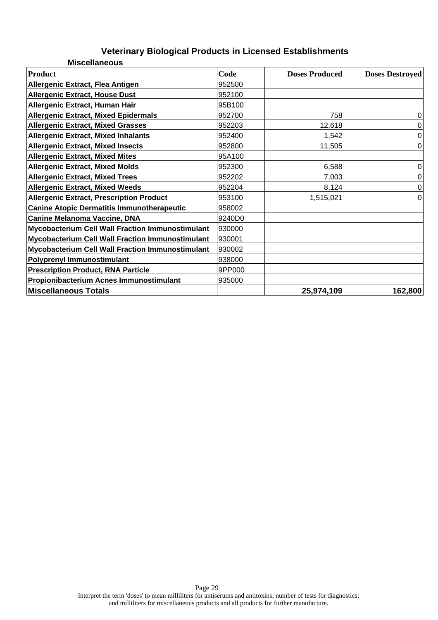| <b>Miscellaneous</b>                                    |        |                       |                        |
|---------------------------------------------------------|--------|-----------------------|------------------------|
| <b>Product</b>                                          | Code   | <b>Doses Produced</b> | <b>Doses Destroyed</b> |
| <b>Allergenic Extract, Flea Antigen</b>                 | 952500 |                       |                        |
| <b>Allergenic Extract, House Dust</b>                   | 952100 |                       |                        |
| Allergenic Extract, Human Hair                          | 95B100 |                       |                        |
| <b>Allergenic Extract, Mixed Epidermals</b>             | 952700 | 758                   | 0                      |
| <b>Allergenic Extract, Mixed Grasses</b>                | 952203 | 12,618                | 0                      |
| <b>Allergenic Extract, Mixed Inhalants</b>              | 952400 | 1,542                 | 0                      |
| <b>Allergenic Extract, Mixed Insects</b>                | 952800 | 11,505                | 0                      |
| <b>Allergenic Extract, Mixed Mites</b>                  | 95A100 |                       |                        |
| <b>Allergenic Extract, Mixed Molds</b>                  | 952300 | 6,588                 | 0                      |
| <b>Allergenic Extract, Mixed Trees</b>                  | 952202 | 7,003                 | 0                      |
| <b>Allergenic Extract, Mixed Weeds</b>                  | 952204 | 8,124                 | $\Omega$               |
| <b>Allergenic Extract, Prescription Product</b>         | 953100 | 1,515,021             | 0                      |
| <b>Canine Atopic Dermatitis Immunotherapeutic</b>       | 958002 |                       |                        |
| <b>Canine Melanoma Vaccine, DNA</b>                     | 9240D0 |                       |                        |
| <b>Mycobacterium Cell Wall Fraction Immunostimulant</b> | 930000 |                       |                        |
| <b>Mycobacterium Cell Wall Fraction Immunostimulant</b> | 930001 |                       |                        |
| <b>Mycobacterium Cell Wall Fraction Immunostimulant</b> | 930002 |                       |                        |
| Polyprenyl Immunostimulant                              | 938000 |                       |                        |
| <b>Prescription Product, RNA Particle</b>               | 9PP000 |                       |                        |
| Propionibacterium Acnes Immunostimulant                 | 935000 |                       |                        |
| <b>Miscellaneous Totals</b>                             |        | 25,974,109            | 162,800                |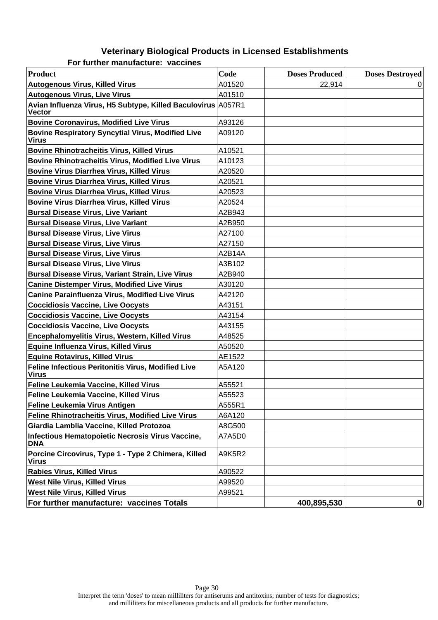| <b>Product</b>                                                                | Code   | <b>Doses Produced</b> | <b>Doses Destroyed</b> |
|-------------------------------------------------------------------------------|--------|-----------------------|------------------------|
| <b>Autogenous Virus, Killed Virus</b>                                         | A01520 | 22,914                |                        |
| <b>Autogenous Virus, Live Virus</b>                                           | A01510 |                       |                        |
| Avian Influenza Virus, H5 Subtype, Killed Baculovirus A057R1<br><b>Vector</b> |        |                       |                        |
| <b>Bovine Coronavirus, Modified Live Virus</b>                                | A93126 |                       |                        |
| <b>Bovine Respiratory Syncytial Virus, Modified Live</b><br><b>Virus</b>      | A09120 |                       |                        |
| <b>Bovine Rhinotracheitis Virus, Killed Virus</b>                             | A10521 |                       |                        |
| <b>Bovine Rhinotracheitis Virus, Modified Live Virus</b>                      | A10123 |                       |                        |
| <b>Bovine Virus Diarrhea Virus, Killed Virus</b>                              | A20520 |                       |                        |
| <b>Bovine Virus Diarrhea Virus, Killed Virus</b>                              | A20521 |                       |                        |
| <b>Bovine Virus Diarrhea Virus, Killed Virus</b>                              | A20523 |                       |                        |
| <b>Bovine Virus Diarrhea Virus, Killed Virus</b>                              | A20524 |                       |                        |
| <b>Bursal Disease Virus, Live Variant</b>                                     | A2B943 |                       |                        |
| <b>Bursal Disease Virus, Live Variant</b>                                     | A2B950 |                       |                        |
| <b>Bursal Disease Virus, Live Virus</b>                                       | A27100 |                       |                        |
| <b>Bursal Disease Virus, Live Virus</b>                                       | A27150 |                       |                        |
| <b>Bursal Disease Virus, Live Virus</b>                                       | A2B14A |                       |                        |
| <b>Bursal Disease Virus, Live Virus</b>                                       | A3B102 |                       |                        |
| <b>Bursal Disease Virus, Variant Strain, Live Virus</b>                       | A2B940 |                       |                        |
| <b>Canine Distemper Virus, Modified Live Virus</b>                            | A30120 |                       |                        |
| <b>Canine Parainfluenza Virus, Modified Live Virus</b>                        | A42120 |                       |                        |
| <b>Coccidiosis Vaccine, Live Oocysts</b>                                      | A43151 |                       |                        |
| <b>Coccidiosis Vaccine, Live Oocysts</b>                                      | A43154 |                       |                        |
| <b>Coccidiosis Vaccine, Live Oocysts</b>                                      | A43155 |                       |                        |
| Encephalomyelitis Virus, Western, Killed Virus                                | A48525 |                       |                        |
| <b>Equine Influenza Virus, Killed Virus</b>                                   | A50520 |                       |                        |
| <b>Equine Rotavirus, Killed Virus</b>                                         | AE1522 |                       |                        |
| Feline Infectious Peritonitis Virus, Modified Live<br><b>Virus</b>            | A5A120 |                       |                        |
| Feline Leukemia Vaccine, Killed Virus                                         | A55521 |                       |                        |
| Feline Leukemia Vaccine, Killed Virus                                         | A55523 |                       |                        |
| <b>Feline Leukemia Virus Antigen</b>                                          | A555R1 |                       |                        |
| Feline Rhinotracheitis Virus, Modified Live Virus                             | A6A120 |                       |                        |
| Giardia Lamblia Vaccine, Killed Protozoa                                      | A8G500 |                       |                        |
| Infectious Hematopoietic Necrosis Virus Vaccine,<br><b>DNA</b>                | A7A5D0 |                       |                        |
| Porcine Circovirus, Type 1 - Type 2 Chimera, Killed<br><b>Virus</b>           | A9K5R2 |                       |                        |
| <b>Rabies Virus, Killed Virus</b>                                             | A90522 |                       |                        |
| <b>West Nile Virus, Killed Virus</b>                                          | A99520 |                       |                        |
| <b>West Nile Virus, Killed Virus</b>                                          | A99521 |                       |                        |
| For further manufacture: vaccines Totals                                      |        | 400,895,530           | 0                      |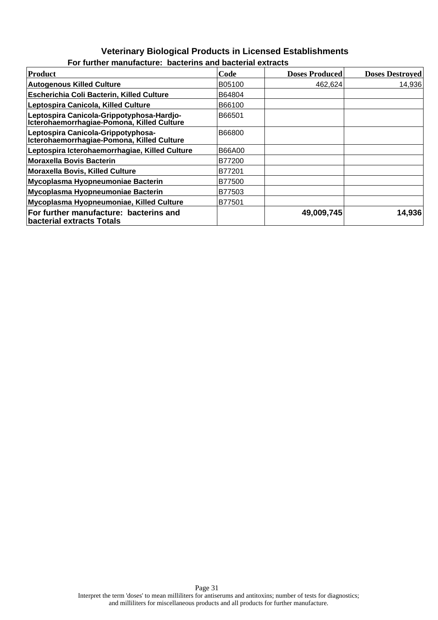### **Veterinary Biological Products in Licensed Establishments For further manufacture: bacterins and bacterial extracts**

| Product                                                                                  | Code   | <b>Doses Produced</b> | <b>Doses Destroyed</b> |
|------------------------------------------------------------------------------------------|--------|-----------------------|------------------------|
| <b>Autogenous Killed Culture</b>                                                         | B05100 | 462,624               | 14,936                 |
| <b>Escherichia Coli Bacterin, Killed Culture</b>                                         | B64804 |                       |                        |
| Leptospira Canicola, Killed Culture                                                      | B66100 |                       |                        |
| Leptospira Canicola-Grippotyphosa-Hardjo-<br> Icterohaemorrhagiae-Pomona, Killed Culture | B66501 |                       |                        |
| Leptospira Canicola-Grippotyphosa-<br>Icterohaemorrhagiae-Pomona, Killed Culture         | B66800 |                       |                        |
| Leptospira Icterohaemorrhagiae, Killed Culture                                           | B66A00 |                       |                        |
| <b>Moraxella Bovis Bacterin</b>                                                          | B77200 |                       |                        |
| Moraxella Bovis, Killed Culture                                                          | B77201 |                       |                        |
| Mycoplasma Hyopneumoniae Bacterin                                                        | B77500 |                       |                        |
| Mycoplasma Hyopneumoniae Bacterin                                                        | B77503 |                       |                        |
| Mycoplasma Hyopneumoniae, Killed Culture                                                 | B77501 |                       |                        |
| For further manufacture: bacterins and<br>bacterial extracts Totals                      |        | 49,009,745            | 14,936                 |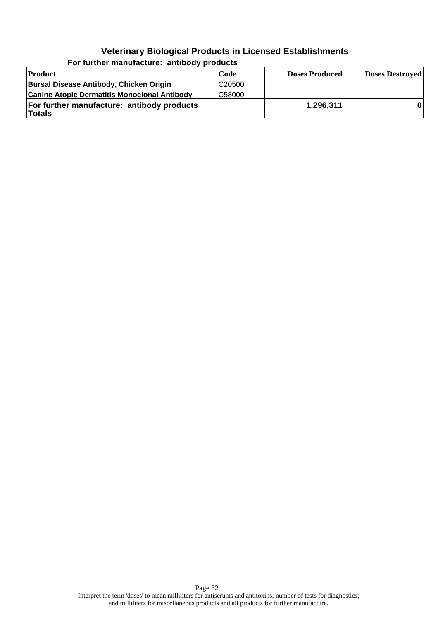| Product                                                     | Code               | <b>Doses Produced</b> | <b>Doses Destroyed</b> |
|-------------------------------------------------------------|--------------------|-----------------------|------------------------|
| Bursal Disease Antibody, Chicken Origin                     | C <sub>20500</sub> |                       |                        |
| <b>Canine Atopic Dermatitis Monoclonal Antibody</b>         | C58000             |                       |                        |
| For further manufacture: antibody products<br><b>Totals</b> |                    | 1,296,311             |                        |

**For further manufacture: antibody products**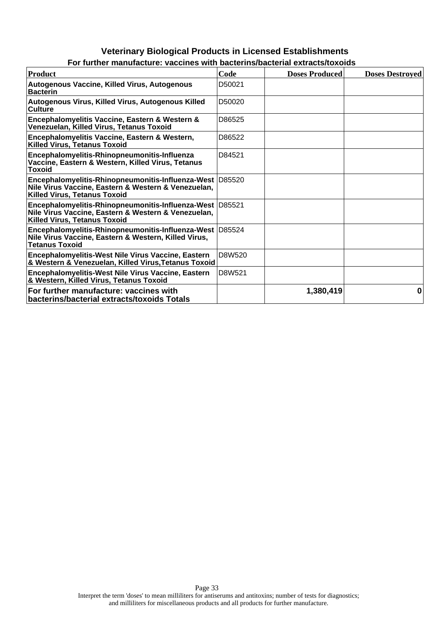| Product                                                                                                                                                  | Code   | <b>Doses Produced</b> | <b>Doses Destroyed</b> |
|----------------------------------------------------------------------------------------------------------------------------------------------------------|--------|-----------------------|------------------------|
| Autogenous Vaccine, Killed Virus, Autogenous<br><b>Bacterin</b>                                                                                          | D50021 |                       |                        |
| Autogenous Virus, Killed Virus, Autogenous Killed<br><b>Culture</b>                                                                                      | D50020 |                       |                        |
| Encephalomyelitis Vaccine, Eastern & Western &<br>Venezuelan, Killed Virus, Tetanus Toxoid                                                               | D86525 |                       |                        |
| Encephalomyelitis Vaccine, Eastern & Western,<br><b>Killed Virus, Tetanus Toxoid</b>                                                                     | D86522 |                       |                        |
| Encephalomyelitis-Rhinopneumonitis-Influenza<br>Vaccine, Eastern & Western, Killed Virus, Tetanus<br><b>Toxoid</b>                                       | D84521 |                       |                        |
| Encephalomyelitis-Rhinopneumonitis-Influenza-West D85520<br>Nile Virus Vaccine, Eastern & Western & Venezuelan,<br><b>Killed Virus, Tetanus Toxoid</b>   |        |                       |                        |
| Encephalomyelitis-Rhinopneumonitis-Influenza-West   D85521<br>Nile Virus Vaccine, Eastern & Western & Venezuelan,<br><b>Killed Virus, Tetanus Toxoid</b> |        |                       |                        |
| Encephalomyelitis-Rhinopneumonitis-Influenza-West D85524<br>Nile Virus Vaccine, Eastern & Western, Killed Virus,<br><b>Tetanus Toxoid</b>                |        |                       |                        |
| Encephalomyelitis-West Nile Virus Vaccine, Eastern<br>& Western & Venezuelan, Killed Virus, Tetanus Toxoid                                               | D8W520 |                       |                        |
| Encephalomyelitis-West Nile Virus Vaccine, Eastern<br>& Western, Killed Virus, Tetanus Toxoid                                                            | D8W521 |                       |                        |
| For further manufacture: vaccines with<br>bacterins/bacterial extracts/toxoids Totals                                                                    |        | 1,380,419             | 0                      |

**For further manufacture: vaccines with bacterins/bacterial extracts/toxoids**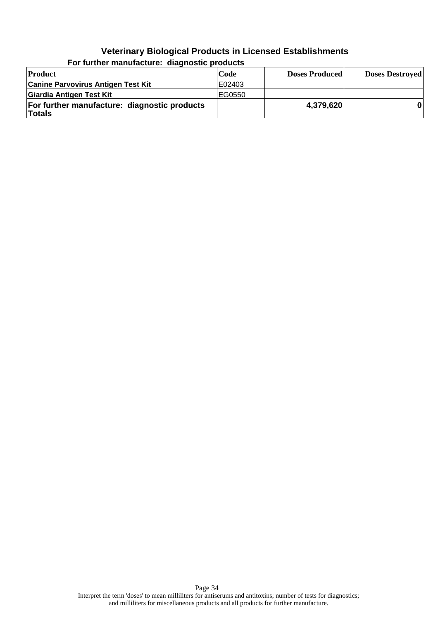| Product                                                       | Code    | <b>Doses Produced</b> | <b>Doses Destroyed</b> |
|---------------------------------------------------------------|---------|-----------------------|------------------------|
| <b>Canine Parvovirus Antigen Test Kit</b>                     | E02403  |                       |                        |
| Giardia Antigen Test Kit                                      | IEG0550 |                       |                        |
| For further manufacture: diagnostic products<br><b>Totals</b> |         | 4,379,620             |                        |

**For further manufacture: diagnostic products**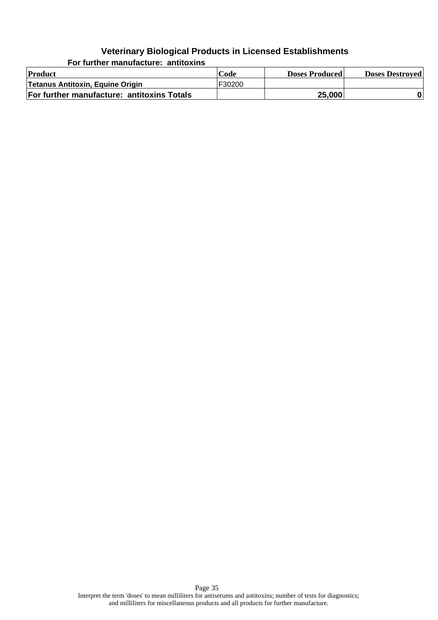**For further manufacture: antitoxins**

| Product                                    | Code   | <b>Doses Produced</b> | <b>Doses Destroyed</b> |
|--------------------------------------------|--------|-----------------------|------------------------|
| Tetanus Antitoxin, Equine Origin           | F30200 |                       |                        |
| For further manufacture: antitoxins Totals |        | 25,000                |                        |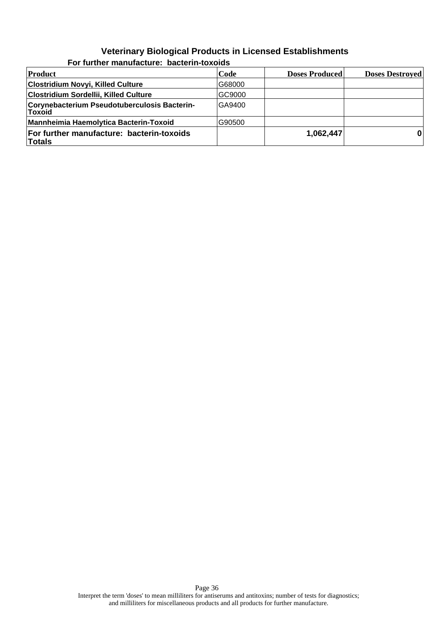| <b>Product</b>                                                | Code   | <b>Doses Produced</b> | <b>Doses Destroyed</b> |
|---------------------------------------------------------------|--------|-----------------------|------------------------|
| Clostridium Novyi, Killed Culture                             | G68000 |                       |                        |
| Clostridium Sordellii, Killed Culture                         | GC9000 |                       |                        |
| Corynebacterium Pseudotuberculosis Bacterin-<br><b>Toxoid</b> | GA9400 |                       |                        |
| Mannheimia Haemolytica Bacterin-Toxoid                        | G90500 |                       |                        |
| For further manufacture: bacterin-toxoids<br><b>Totals</b>    |        | 1,062,447             |                        |

#### **For further manufacture: bacterin-toxoids**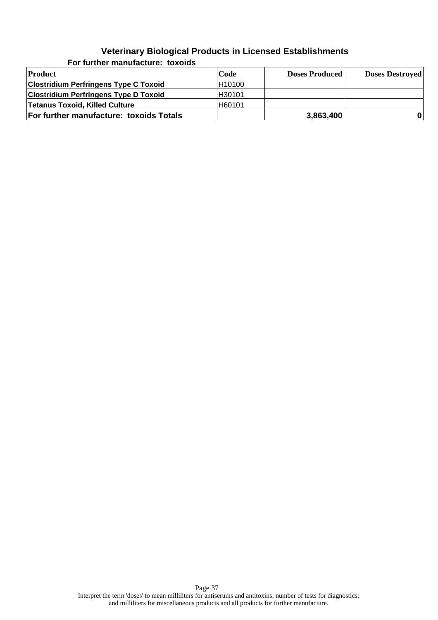| Product                                      | Code    | <b>Doses Produced</b> | <b>Doses Destroyed</b> |
|----------------------------------------------|---------|-----------------------|------------------------|
| <b>Clostridium Perfringens Type C Toxoid</b> | H10100  |                       |                        |
| <b>Clostridium Perfringens Type D Toxoid</b> | IH30101 |                       |                        |
| Tetanus Toxoid, Killed Culture               | H60101  |                       |                        |
| For further manufacture: toxoids Totals      |         | 3,863,400             | 0                      |

**For further manufacture: toxoids**